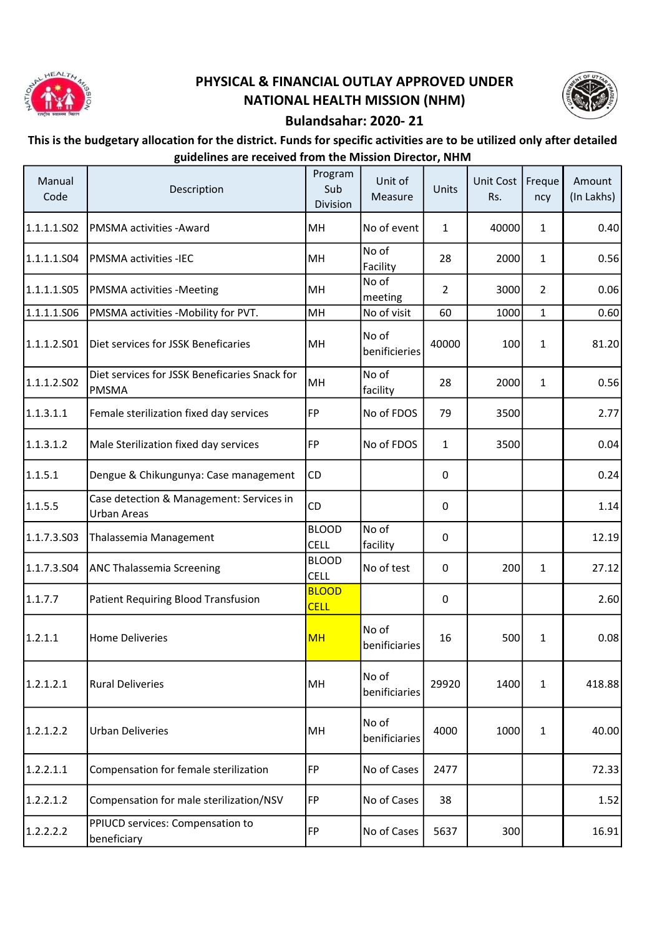

## PHYSICAL & FINANCIAL OUTLAY APPROVED UNDER NATIONAL HEALTH MISSION (NHM)



## Bulandsahar: 2020- 21

## This is the budgetary allocation for the district. Funds for specific activities are to be utilized only after detailed guidelines are received from the Mission Director, NHM

| Manual<br>Code | Description                                                   | Program<br>Sub<br>Division  | Unit of<br>Measure     | Units          | Unit Cost<br>Rs. | Freque<br>ncy  | Amount<br>(In Lakhs) |
|----------------|---------------------------------------------------------------|-----------------------------|------------------------|----------------|------------------|----------------|----------------------|
| 1.1.1.1.502    | PMSMA activities - Award                                      | MH                          | No of event            | 1              | 40000            | $\mathbf{1}$   | 0.40                 |
| 1.1.1.1.S04    | <b>PMSMA activities -IEC</b>                                  | MH                          | No of<br>Facility      | 28             | 2000             | $\mathbf{1}$   | 0.56                 |
| 1.1.1.1.S05    | PMSMA activities -Meeting                                     | MH                          | No of<br>meeting       | $\overline{2}$ | 3000             | $\overline{2}$ | 0.06                 |
| 1.1.1.1.506    | PMSMA activities -Mobility for PVT.                           | MH                          | No of visit            | 60             | 1000             | $\mathbf{1}$   | 0.60                 |
| l1.1.1.2.S01   | Diet services for JSSK Beneficaries                           | MH                          | No of<br>benificieries | 40000          | 100              | $\mathbf{1}$   | 81.20                |
| 1.1.1.2.502    | Diet services for JSSK Beneficaries Snack for<br><b>PMSMA</b> | MH                          | No of<br>facility      | 28             | 2000             | $\mathbf{1}$   | 0.56                 |
| 1.1.3.1.1      | Female sterilization fixed day services                       | FP                          | No of FDOS             | 79             | 3500             |                | 2.77                 |
| 1.1.3.1.2      | Male Sterilization fixed day services                         | FP                          | No of FDOS             | $\mathbf{1}$   | 3500             |                | 0.04                 |
| 1.1.5.1        | Dengue & Chikungunya: Case management                         | <b>CD</b>                   |                        | $\mathbf{0}$   |                  |                | 0.24                 |
| 1.1.5.5        | Case detection & Management: Services in<br>Urban Areas       | CD                          |                        | 0              |                  |                | 1.14                 |
| 1.1.7.3.503    | Thalassemia Management                                        | <b>BLOOD</b><br><b>CELL</b> | No of<br>facility      | 0              |                  |                | 12.19                |
| 1.1.7.3.504    | ANC Thalassemia Screening                                     | <b>BLOOD</b><br><b>CELL</b> | No of test             | 0              | 200              | $\mathbf{1}$   | 27.12                |
| 1.1.7.7        | Patient Requiring Blood Transfusion                           | <b>BLOOD</b><br><b>CELL</b> |                        | 0              |                  |                | 2.60                 |
| 1.2.1.1        | <b>Home Deliveries</b>                                        | <b>MH</b>                   | No of<br>benificiaries | 16             | 500              | $\mathbf{1}$   | 0.08                 |
| 1.2.1.2.1      | <b>Rural Deliveries</b>                                       | MH                          | No of<br>benificiaries | 29920          | 1400             | $\mathbf{1}$   | 418.88               |
| 1.2.1.2.2      | <b>Urban Deliveries</b>                                       | MH                          | No of<br>benificiaries | 4000           | 1000             | $\mathbf{1}$   | 40.00                |
| 1.2.2.1.1      | Compensation for female sterilization                         | <b>FP</b>                   | No of Cases            | 2477           |                  |                | 72.33                |
| 1.2.2.1.2      | Compensation for male sterilization/NSV                       | FP                          | No of Cases            | 38             |                  |                | 1.52                 |
| 1.2.2.2.2      | PPIUCD services: Compensation to<br>beneficiary               | FP                          | No of Cases            | 5637           | 300              |                | 16.91                |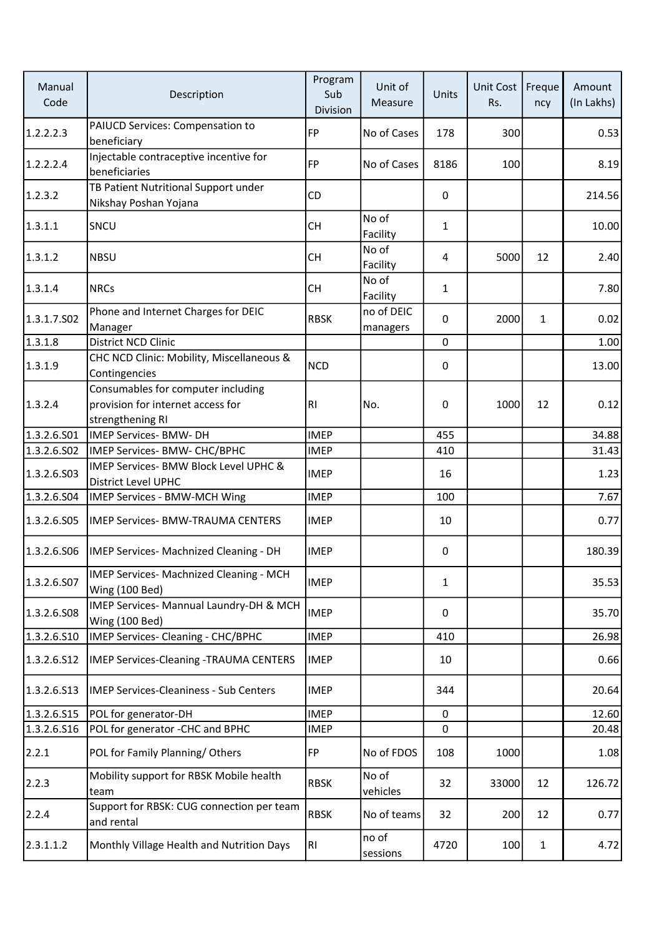| Manual<br>Code | Description                                                                                 | Program<br>Sub<br>Division | Unit of<br>Measure     | Units        | Unit Cost<br>Rs. | Freque<br>ncy | Amount<br>(In Lakhs) |
|----------------|---------------------------------------------------------------------------------------------|----------------------------|------------------------|--------------|------------------|---------------|----------------------|
| 1.2.2.2.3      | PAIUCD Services: Compensation to<br>beneficiary                                             | <b>FP</b>                  | No of Cases            | 178          | 300              |               | 0.53                 |
| 1.2.2.2.4      | Injectable contraceptive incentive for<br>beneficiaries                                     | <b>FP</b>                  | No of Cases            | 8186         | 100              |               | 8.19                 |
| 1.2.3.2        | TB Patient Nutritional Support under<br>Nikshay Poshan Yojana                               | CD                         |                        | 0            |                  |               | 214.56               |
| 1.3.1.1        | SNCU                                                                                        | <b>CH</b>                  | No of<br>Facility      | 1            |                  |               | 10.00                |
| 1.3.1.2        | <b>NBSU</b>                                                                                 | <b>CH</b>                  | No of<br>Facility      | 4            | 5000             | 12            | 2.40                 |
| 1.3.1.4        | <b>NRCs</b>                                                                                 | <b>CH</b>                  | No of<br>Facility      | $\mathbf{1}$ |                  |               | 7.80                 |
| 1.3.1.7.S02    | Phone and Internet Charges for DEIC<br>Manager                                              | <b>RBSK</b>                | no of DEIC<br>managers | 0            | 2000             | $\mathbf{1}$  | 0.02                 |
| 1.3.1.8        | District NCD Clinic                                                                         |                            |                        | $\mathbf{0}$ |                  |               | 1.00                 |
| 1.3.1.9        | CHC NCD Clinic: Mobility, Miscellaneous &<br>Contingencies                                  | <b>NCD</b>                 |                        | 0            |                  |               | 13.00                |
| 1.3.2.4        | Consumables for computer including<br>provision for internet access for<br>strengthening RI | R <sub>l</sub>             | No.                    | 0            | 1000             | 12            | 0.12                 |
| 1.3.2.6.S01    | <b>IMEP Services- BMW- DH</b>                                                               | <b>IMEP</b>                |                        | 455          |                  |               | 34.88                |
| 1.3.2.6.502    | IMEP Services- BMW- CHC/BPHC                                                                | <b>IMEP</b>                |                        | 410          |                  |               | 31.43                |
| 1.3.2.6.503    | IMEP Services- BMW Block Level UPHC &<br>District Level UPHC                                | <b>IMEP</b>                |                        | 16           |                  |               | 1.23                 |
| 1.3.2.6.504    | IMEP Services - BMW-MCH Wing                                                                | <b>IMEP</b>                |                        | 100          |                  |               | 7.67                 |
| 1.3.2.6.505    | <b>IMEP Services- BMW-TRAUMA CENTERS</b>                                                    | <b>IMEP</b>                |                        | 10           |                  |               | 0.77                 |
| 1.3.2.6.506    | IMEP Services- Machnized Cleaning - DH                                                      | <b>IMEP</b>                |                        | 0            |                  |               | 180.39               |
| 1.3.2.6.S07    | IMEP Services- Machnized Cleaning - MCH<br><b>Wing (100 Bed)</b>                            | <b>IMEP</b>                |                        | $\mathbf{1}$ |                  |               | 35.53                |
| 1.3.2.6.508    | IMEP Services- Mannual Laundry-DH & MCH<br>Wing (100 Bed)                                   | <b>IMEP</b>                |                        | 0            |                  |               | 35.70                |
| 1.3.2.6.510    | IMEP Services- Cleaning - CHC/BPHC                                                          | <b>IMEP</b>                |                        | 410          |                  |               | 26.98                |
| 1.3.2.6.512    | <b>IMEP Services-Cleaning -TRAUMA CENTERS</b>                                               | <b>IMEP</b>                |                        | 10           |                  |               | 0.66                 |
| 1.3.2.6.513    | <b>IMEP Services-Cleaniness - Sub Centers</b>                                               | <b>IMEP</b>                |                        | 344          |                  |               | 20.64                |
| 1.3.2.6.S15    | POL for generator-DH                                                                        | <b>IMEP</b>                |                        | $\mathbf{0}$ |                  |               | 12.60                |
| 1.3.2.6.516    | POL for generator -CHC and BPHC                                                             | <b>IMEP</b>                |                        | 0            |                  |               | 20.48                |
| 2.2.1          | POL for Family Planning/Others                                                              | <b>FP</b>                  | No of FDOS             | 108          | 1000             |               | 1.08                 |
| 2.2.3          | Mobility support for RBSK Mobile health<br>team                                             | <b>RBSK</b>                | No of<br>vehicles      | 32           | 33000            | 12            | 126.72               |
| 2.2.4          | Support for RBSK: CUG connection per team<br>and rental                                     | <b>RBSK</b>                | No of teams            | 32           | 200              | 12            | 0.77                 |
| 2.3.1.1.2      | Monthly Village Health and Nutrition Days                                                   | R <sub>1</sub>             | no of<br>sessions      | 4720         | 100              | $\mathbf{1}$  | 4.72                 |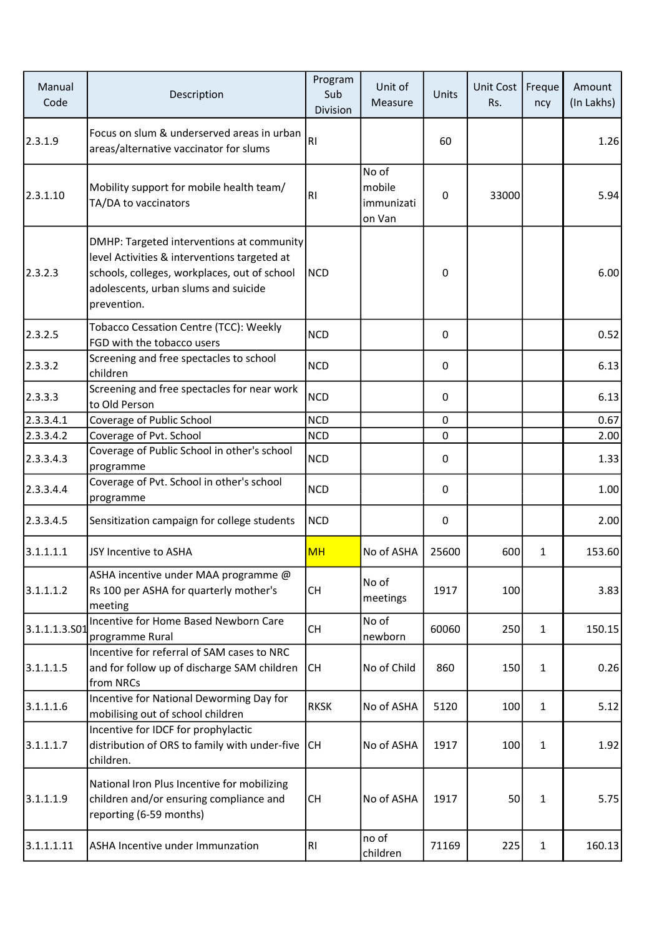| Manual<br>Code | Description                                                                                                                                                                                      | Program<br>Sub<br>Division | Unit of<br>Measure                      | Units       | Unit Cost<br>Rs. | Freque<br>ncy | Amount<br>(In Lakhs) |
|----------------|--------------------------------------------------------------------------------------------------------------------------------------------------------------------------------------------------|----------------------------|-----------------------------------------|-------------|------------------|---------------|----------------------|
| 2.3.1.9        | Focus on slum & underserved areas in urban<br>areas/alternative vaccinator for slums                                                                                                             | R <sub>l</sub>             |                                         | 60          |                  |               | 1.26                 |
| 2.3.1.10       | Mobility support for mobile health team/<br>TA/DA to vaccinators                                                                                                                                 | R <sub>l</sub>             | No of<br>mobile<br>immunizati<br>on Van | 0           | 33000            |               | 5.94                 |
| 2.3.2.3        | DMHP: Targeted interventions at community<br>level Activities & interventions targeted at<br>schools, colleges, workplaces, out of school<br>adolescents, urban slums and suicide<br>prevention. | <b>NCD</b>                 |                                         | 0           |                  |               | 6.00                 |
| 2.3.2.5        | Tobacco Cessation Centre (TCC): Weekly<br>FGD with the tobacco users                                                                                                                             | <b>NCD</b>                 |                                         | 0           |                  |               | 0.52                 |
| 2.3.3.2        | Screening and free spectacles to school<br>children                                                                                                                                              | <b>NCD</b>                 |                                         | 0           |                  |               | 6.13                 |
| 2.3.3.3        | Screening and free spectacles for near work<br>to Old Person                                                                                                                                     | <b>NCD</b>                 |                                         | 0           |                  |               | 6.13                 |
| 2.3.3.4.1      | Coverage of Public School                                                                                                                                                                        | <b>NCD</b>                 |                                         | $\mathbf 0$ |                  |               | 0.67                 |
| 2.3.3.4.2      | Coverage of Pvt. School                                                                                                                                                                          | <b>NCD</b>                 |                                         | $\Omega$    |                  |               | 2.00                 |
| 2.3.3.4.3      | Coverage of Public School in other's school<br>programme                                                                                                                                         | <b>NCD</b>                 |                                         | 0           |                  |               | 1.33                 |
| 2.3.3.4.4      | Coverage of Pvt. School in other's school<br>programme                                                                                                                                           | <b>NCD</b>                 |                                         | 0           |                  |               | 1.00                 |
| 2.3.3.4.5      | Sensitization campaign for college students                                                                                                                                                      | <b>NCD</b>                 |                                         | 0           |                  |               | 2.00                 |
| 3.1.1.1.1      | JSY Incentive to ASHA                                                                                                                                                                            | <b>MH</b>                  | No of ASHA                              | 25600       | 600              | 1             | 153.60               |
| 3.1.1.1.2      | ASHA incentive under MAA programme @<br>Rs 100 per ASHA for quarterly mother's<br>meeting                                                                                                        | СH                         | No of<br>meetings                       | 1917        | 100              |               | 3.83                 |
| 3.1.1.1.3.501  | Incentive for Home Based Newborn Care<br>programme Rural                                                                                                                                         | <b>CH</b>                  | No of<br>newborn                        | 60060       | 250              | $\mathbf{1}$  | 150.15               |
| 3.1.1.1.5      | Incentive for referral of SAM cases to NRC<br>and for follow up of discharge SAM children<br>from NRCs                                                                                           | <b>CH</b>                  | No of Child                             | 860         | 150              | $\mathbf{1}$  | 0.26                 |
| 3.1.1.1.6      | Incentive for National Deworming Day for<br>mobilising out of school children                                                                                                                    | <b>RKSK</b>                | No of ASHA                              | 5120        | 100              | $\mathbf{1}$  | 5.12                 |
| 3.1.1.1.7      | Incentive for IDCF for prophylactic<br>distribution of ORS to family with under-five<br>children.                                                                                                | <b>CH</b>                  | No of ASHA                              | 1917        | 100              | $\mathbf{1}$  | 1.92                 |
| 3.1.1.1.9      | National Iron Plus Incentive for mobilizing<br>children and/or ensuring compliance and<br>reporting (6-59 months)                                                                                | <b>CH</b>                  | No of ASHA                              | 1917        | 50               | 1             | 5.75                 |
| 3.1.1.1.11     | ASHA Incentive under Immunzation                                                                                                                                                                 | R <sub>l</sub>             | no of<br>children                       | 71169       | 225              | $\mathbf{1}$  | 160.13               |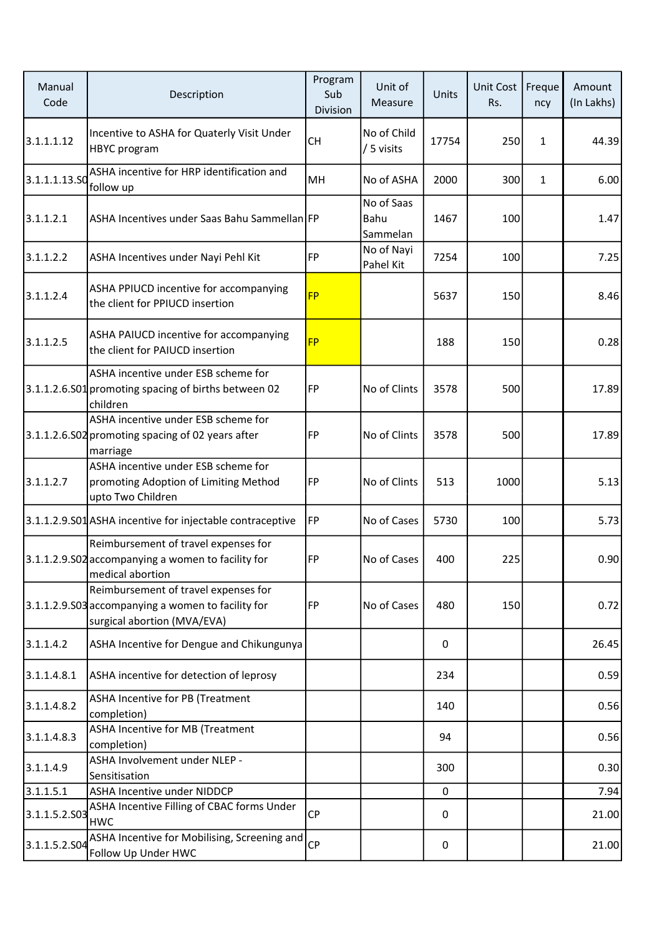| Manual<br>Code | Description                                                                                                               | Program<br>Sub<br>Division | Unit of<br>Measure             | Units | Unit Cost<br>Rs. | Freque<br>ncy | Amount<br>(In Lakhs) |
|----------------|---------------------------------------------------------------------------------------------------------------------------|----------------------------|--------------------------------|-------|------------------|---------------|----------------------|
| 3.1.1.1.12     | Incentive to ASHA for Quaterly Visit Under<br>HBYC program                                                                | <b>CH</b>                  | No of Child<br>/ 5 visits      | 17754 | 250              | $\mathbf{1}$  | 44.39                |
| 3.1.1.1.13.SO  | ASHA incentive for HRP identification and<br>follow up                                                                    | MH                         | No of ASHA                     | 2000  | 300              | $\mathbf{1}$  | 6.00                 |
| 3.1.1.2.1      | ASHA Incentives under Saas Bahu Sammellan FP                                                                              |                            | No of Saas<br>Bahu<br>Sammelan | 1467  | 100              |               | 1.47                 |
| 3.1.1.2.2      | ASHA Incentives under Nayi Pehl Kit                                                                                       | FP                         | No of Nayi<br>Pahel Kit        | 7254  | 100              |               | 7.25                 |
| 3.1.1.2.4      | ASHA PPIUCD incentive for accompanying<br>the client for PPIUCD insertion                                                 | <b>FP</b>                  |                                | 5637  | 150              |               | 8.46                 |
| 3.1.1.2.5      | ASHA PAIUCD incentive for accompanying<br>the client for PAIUCD insertion                                                 | <b>FP</b>                  |                                | 188   | 150              |               | 0.28                 |
|                | ASHA incentive under ESB scheme for<br>3.1.1.2.6.S01 promoting spacing of births between 02<br>children                   | FP                         | No of Clints                   | 3578  | 500              |               | 17.89                |
|                | ASHA incentive under ESB scheme for<br>3.1.1.2.6.S02 promoting spacing of 02 years after<br>marriage                      | FP                         | No of Clints                   | 3578  | 500              |               | 17.89                |
| 3.1.1.2.7      | ASHA incentive under ESB scheme for<br>promoting Adoption of Limiting Method<br>upto Two Children                         | FP                         | No of Clints                   | 513   | 1000             |               | 5.13                 |
|                | 3.1.1.2.9.S01 ASHA incentive for injectable contraceptive                                                                 | <b>FP</b>                  | No of Cases                    | 5730  | 100              |               | 5.73                 |
|                | Reimbursement of travel expenses for<br>3.1.1.2.9.S02 accompanying a women to facility for<br>medical abortion            | FP                         | No of Cases                    | 400   | 225              |               | 0.90                 |
|                | Reimbursement of travel expenses for<br>3.1.1.2.9.S03 accompanying a women to facility for<br>surgical abortion (MVA/EVA) | FP                         | No of Cases                    | 480   | 150              |               | 0.72                 |
| 3.1.1.4.2      | ASHA Incentive for Dengue and Chikungunya                                                                                 |                            |                                | 0     |                  |               | 26.45                |
| 3.1.1.4.8.1    | ASHA incentive for detection of leprosy                                                                                   |                            |                                | 234   |                  |               | 0.59                 |
| 3.1.1.4.8.2    | <b>ASHA Incentive for PB (Treatment</b><br>completion)                                                                    |                            |                                | 140   |                  |               | 0.56                 |
| 3.1.1.4.8.3    | ASHA Incentive for MB (Treatment<br>completion)                                                                           |                            |                                | 94    |                  |               | 0.56                 |
| 3.1.1.4.9      | ASHA Involvement under NLEP -<br>Sensitisation                                                                            |                            |                                | 300   |                  |               | 0.30                 |
| 3.1.1.5.1      | <b>ASHA Incentive under NIDDCP</b>                                                                                        |                            |                                | 0     |                  |               | 7.94                 |
| 3.1.1.5.2.S03  | ASHA Incentive Filling of CBAC forms Under<br><b>HWC</b>                                                                  | <b>CP</b>                  |                                | 0     |                  |               | 21.00                |
| 3.1.1.5.2.S04  | ASHA Incentive for Mobilising, Screening and<br>Follow Up Under HWC                                                       | <b>CP</b>                  |                                | 0     |                  |               | 21.00                |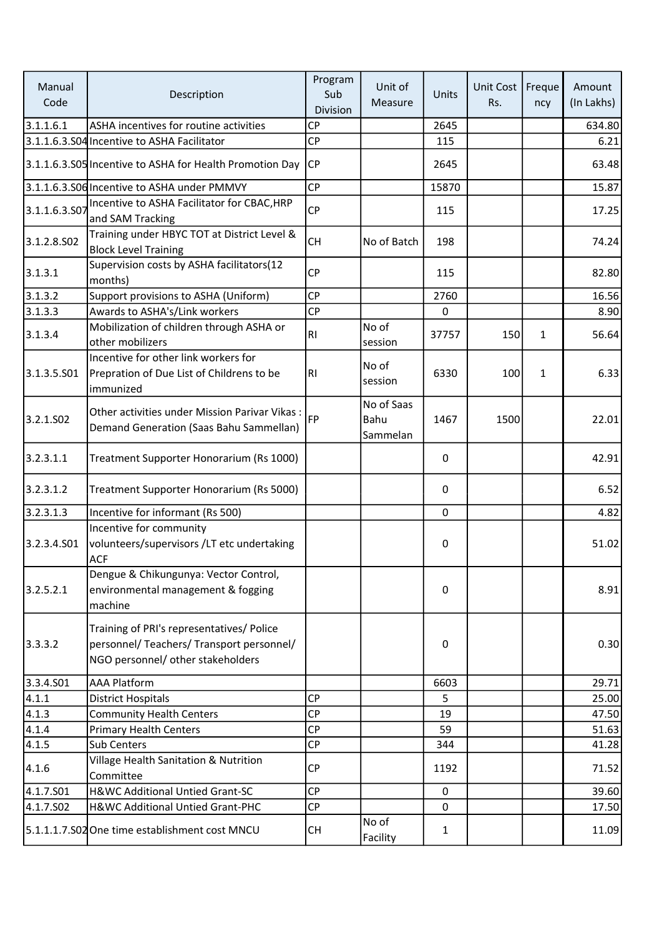| Manual<br>Code | Description                                                                                                                 | Program<br>Sub<br>Division | Unit of<br>Measure             | Units       | Unit Cost<br>Rs. | Freque<br>ncy | Amount<br>(In Lakhs) |
|----------------|-----------------------------------------------------------------------------------------------------------------------------|----------------------------|--------------------------------|-------------|------------------|---------------|----------------------|
| 3.1.1.6.1      | ASHA incentives for routine activities                                                                                      | <b>CP</b>                  |                                | 2645        |                  |               | 634.80               |
|                | 3.1.1.6.3.S04 Incentive to ASHA Facilitator                                                                                 | <b>CP</b>                  |                                | 115         |                  |               | 6.21                 |
|                | 3.1.1.6.3.S05 Incentive to ASHA for Health Promotion Day                                                                    | <b>CP</b>                  |                                | 2645        |                  |               | 63.48                |
|                | 3.1.1.6.3.S06 Incentive to ASHA under PMMVY                                                                                 | <b>CP</b>                  |                                | 15870       |                  |               | 15.87                |
| 3.1.1.6.3.S07  | Incentive to ASHA Facilitator for CBAC, HRP<br>and SAM Tracking                                                             | CP                         |                                | 115         |                  |               | 17.25                |
| 3.1.2.8.S02    | Training under HBYC TOT at District Level &<br><b>Block Level Training</b>                                                  | <b>CH</b>                  | No of Batch                    | 198         |                  |               | 74.24                |
| 3.1.3.1        | Supervision costs by ASHA facilitators(12<br>months)                                                                        | <b>CP</b>                  |                                | 115         |                  |               | 82.80                |
| 3.1.3.2        | Support provisions to ASHA (Uniform)                                                                                        | <b>CP</b>                  |                                | 2760        |                  |               | 16.56                |
| 3.1.3.3        | Awards to ASHA's/Link workers                                                                                               | CP                         |                                | $\pmb{0}$   |                  |               | 8.90                 |
| 3.1.3.4        | Mobilization of children through ASHA or<br>other mobilizers                                                                | R <sub>1</sub>             | No of<br>session               | 37757       | 150              | $\mathbf{1}$  | 56.64                |
| 3.1.3.5.501    | Incentive for other link workers for<br>Prepration of Due List of Childrens to be<br>immunized                              | R <sub>1</sub>             | No of<br>session               | 6330        | 100              | $\mathbf{1}$  | 6.33                 |
| 3.2.1.502      | Other activities under Mission Parivar Vikas:<br>Demand Generation (Saas Bahu Sammellan)                                    | <b>FP</b>                  | No of Saas<br>Bahu<br>Sammelan | 1467        | 1500             |               | 22.01                |
| 3.2.3.1.1      | Treatment Supporter Honorarium (Rs 1000)                                                                                    |                            |                                | 0           |                  |               | 42.91                |
| 3.2.3.1.2      | Treatment Supporter Honorarium (Rs 5000)                                                                                    |                            |                                | 0           |                  |               | 6.52                 |
| 3.2.3.1.3      | Incentive for informant (Rs 500)                                                                                            |                            |                                | $\mathbf 0$ |                  |               | 4.82                 |
| 3.2.3.4.501    | Incentive for community<br>volunteers/supervisors /LT etc undertaking<br><b>ACF</b>                                         |                            |                                | 0           |                  |               | 51.02                |
| 3.2.5.2.1      | Dengue & Chikungunya: Vector Control,<br>environmental management & fogging<br>machine                                      |                            |                                | 0           |                  |               | 8.91                 |
| 3.3.3.2        | Training of PRI's representatives/ Police<br>personnel/ Teachers/ Transport personnel/<br>NGO personnel/ other stakeholders |                            |                                | 0           |                  |               | 0.30                 |
| 3.3.4.501      | <b>AAA Platform</b>                                                                                                         |                            |                                | 6603        |                  |               | 29.71                |
| 4.1.1          | <b>District Hospitals</b>                                                                                                   | <b>CP</b>                  |                                | 5           |                  |               | 25.00                |
| 4.1.3          | <b>Community Health Centers</b>                                                                                             | <b>CP</b>                  |                                | 19          |                  |               | 47.50                |
| 4.1.4          | <b>Primary Health Centers</b>                                                                                               | <b>CP</b>                  |                                | 59          |                  |               | 51.63                |
| 4.1.5          | Sub Centers                                                                                                                 | CP                         |                                | 344         |                  |               | 41.28                |
| 4.1.6          | Village Health Sanitation & Nutrition<br>Committee                                                                          | <b>CP</b>                  |                                | 1192        |                  |               | 71.52                |
| 4.1.7.S01      | H&WC Additional Untied Grant-SC                                                                                             | <b>CP</b>                  |                                | $\pmb{0}$   |                  |               | 39.60                |
| 4.1.7.S02      | H&WC Additional Untied Grant-PHC                                                                                            | <b>CP</b>                  |                                | $\mathbf 0$ |                  |               | 17.50                |
|                | 5.1.1.1.7.S02 One time establishment cost MNCU                                                                              | CH                         | No of<br>Facility              | 1           |                  |               | 11.09                |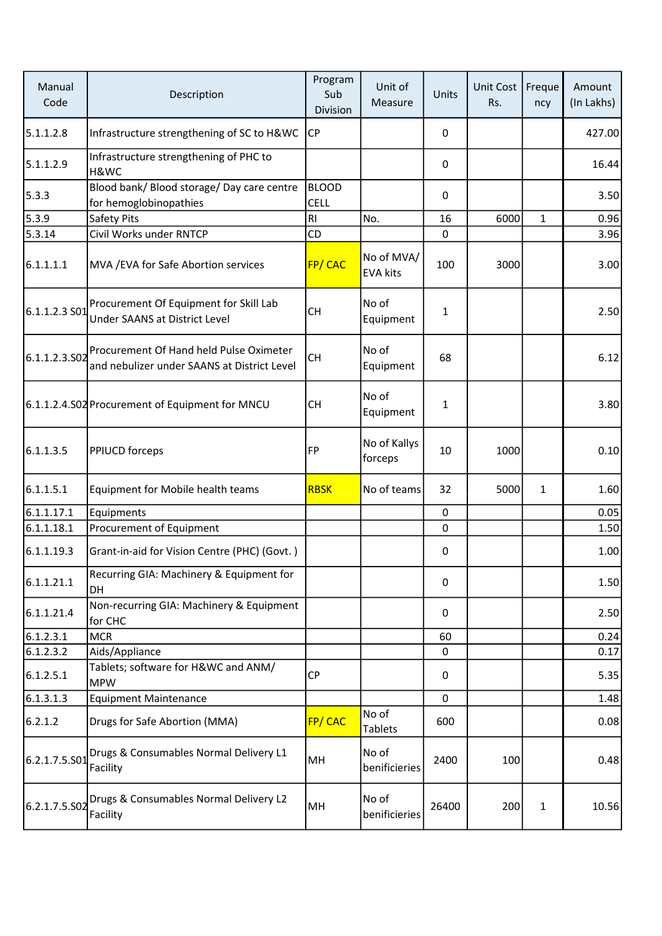| Manual<br>Code | Description                                                                            | Program<br>Sub<br>Division  | Unit of<br>Measure            | Units        | Unit Cost<br>Rs. | Freque<br>ncy | Amount<br>(In Lakhs) |
|----------------|----------------------------------------------------------------------------------------|-----------------------------|-------------------------------|--------------|------------------|---------------|----------------------|
| 5.1.1.2.8      | Infrastructure strengthening of SC to H&WC                                             | <b>CP</b>                   |                               | 0            |                  |               | 427.00               |
| 5.1.1.2.9      | Infrastructure strengthening of PHC to<br>H&WC                                         |                             |                               | 0            |                  |               | 16.44                |
| 5.3.3          | Blood bank/ Blood storage/ Day care centre<br>for hemoglobinopathies                   | <b>BLOOD</b><br><b>CELL</b> |                               | $\mathbf{0}$ |                  |               | 3.50                 |
| 5.3.9          | Safety Pits                                                                            | R <sub>l</sub>              | No.                           | 16           | 6000             | 1             | 0.96                 |
| 5.3.14         | Civil Works under RNTCP                                                                | CD                          |                               | $\mathbf 0$  |                  |               | 3.96                 |
| 6.1.1.1.1      | MVA / EVA for Safe Abortion services                                                   | FP/CAC                      | No of MVA/<br><b>EVA kits</b> | 100          | 3000             |               | 3.00                 |
| 6.1.1.2.3 S01  | Procurement Of Equipment for Skill Lab<br>Under SAANS at District Level                | <b>CH</b>                   | No of<br>Equipment            | $\mathbf{1}$ |                  |               | 2.50                 |
| 6.1.1.2.3.502  | Procurement Of Hand held Pulse Oximeter<br>and nebulizer under SAANS at District Level | <b>CH</b>                   | No of<br>Equipment            | 68           |                  |               | 6.12                 |
|                | 6.1.1.2.4.S02 Procurement of Equipment for MNCU                                        | <b>CH</b>                   | No of<br>Equipment            | $\mathbf{1}$ |                  |               | 3.80                 |
| 6.1.1.3.5      | <b>PPIUCD forceps</b>                                                                  | FP                          | No of Kallys<br>forceps       | 10           | 1000             |               | 0.10                 |
| 6.1.1.5.1      | Equipment for Mobile health teams                                                      | <b>RBSK</b>                 | No of teams                   | 32           | 5000             | $\mathbf{1}$  | 1.60                 |
| 6.1.1.17.1     | Equipments                                                                             |                             |                               | $\mathbf 0$  |                  |               | 0.05                 |
| 6.1.1.18.1     | Procurement of Equipment                                                               |                             |                               | $\mathbf 0$  |                  |               | 1.50                 |
| 6.1.1.19.3     | Grant-in-aid for Vision Centre (PHC) (Govt.)                                           |                             |                               | 0            |                  |               | 1.00                 |
| 6.1.1.21.1     | Recurring GIA: Machinery & Equipment for<br><b>DH</b>                                  |                             |                               | 0            |                  |               | 1.50                 |
| 6.1.1.21.4     | Non-recurring GIA: Machinery & Equipment<br>for CHC                                    |                             |                               | 0            |                  |               | 2.50                 |
| 6.1.2.3.1      | <b>MCR</b>                                                                             |                             |                               | 60           |                  |               | 0.24                 |
| 6.1.2.3.2      | Aids/Appliance                                                                         |                             |                               | 0            |                  |               | 0.17                 |
| 6.1.2.5.1      | Tablets; software for H&WC and ANM/<br><b>MPW</b>                                      | <b>CP</b>                   |                               | 0            |                  |               | 5.35                 |
| 6.1.3.1.3      | <b>Equipment Maintenance</b>                                                           |                             |                               | 0            |                  |               | 1.48                 |
| 6.2.1.2        | Drugs for Safe Abortion (MMA)                                                          | FP/CAC                      | No of<br><b>Tablets</b>       | 600          |                  |               | 0.08                 |
| 6.2.1.7.5.S01  | Drugs & Consumables Normal Delivery L1<br>Facility                                     | MH                          | No of<br>benificieries        | 2400         | 100              |               | 0.48                 |
| 6.2.1.7.5.S02  | Drugs & Consumables Normal Delivery L2<br>Facility                                     | MH                          | No of<br>benificieries        | 26400        | 200              | $\mathbf{1}$  | 10.56                |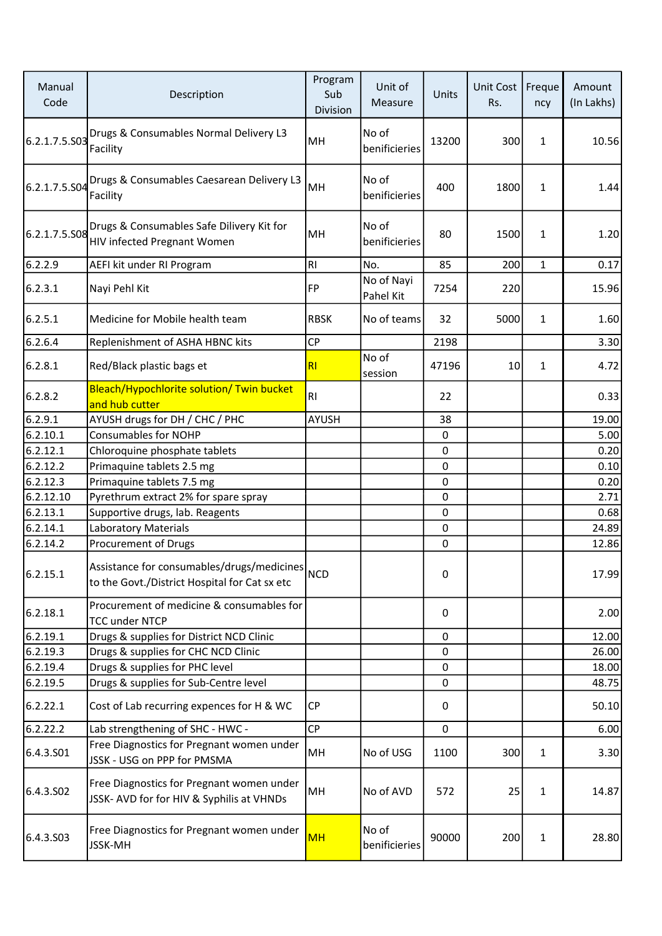| Manual<br>Code | Description                                                                                 | Program<br>Sub<br>Division | Unit of<br>Measure      | Units        | <b>Unit Cost</b><br>Rs. | Freque<br>ncy | Amount<br>(In Lakhs) |
|----------------|---------------------------------------------------------------------------------------------|----------------------------|-------------------------|--------------|-------------------------|---------------|----------------------|
| 6.2.1.7.5.S03  | Drugs & Consumables Normal Delivery L3<br>Facility                                          | MH                         | No of<br>benificieries  | 13200        | 300                     | $\mathbf{1}$  | 10.56                |
| 6.2.1.7.5.S04  | Drugs & Consumables Caesarean Delivery L3<br>Facility                                       | MH                         | No of<br>benificieries  | 400          | 1800                    | $\mathbf{1}$  | 1.44                 |
| 6.2.1.7.5.S08  | Drugs & Consumables Safe Dilivery Kit for<br>HIV infected Pregnant Women                    | MH                         | No of<br>benificieries  | 80           | 1500                    | $\mathbf{1}$  | 1.20                 |
| 6.2.2.9        | AEFI kit under RI Program                                                                   | RI                         | No.                     | 85           | 200                     | $\mathbf{1}$  | 0.17                 |
| 6.2.3.1        | Nayi Pehl Kit                                                                               | <b>FP</b>                  | No of Nayi<br>Pahel Kit | 7254         | 220                     |               | 15.96                |
| 6.2.5.1        | Medicine for Mobile health team                                                             | <b>RBSK</b>                | No of teams             | 32           | 5000                    | $\mathbf{1}$  | 1.60                 |
| 6.2.6.4        | Replenishment of ASHA HBNC kits                                                             | <b>CP</b>                  |                         | 2198         |                         |               | 3.30                 |
| 6.2.8.1        | Red/Black plastic bags et                                                                   | R1                         | No of<br>session        | 47196        | 10                      | $\mathbf{1}$  | 4.72                 |
| 6.2.8.2        | Bleach/Hypochlorite solution/ Twin bucket<br>and hub cutter                                 | R <sub>l</sub>             |                         | 22           |                         |               | 0.33                 |
| 6.2.9.1        | AYUSH drugs for DH / CHC / PHC                                                              | <b>AYUSH</b>               |                         | 38           |                         |               | 19.00                |
| 6.2.10.1       | <b>Consumables for NOHP</b>                                                                 |                            |                         | 0            |                         |               | 5.00                 |
| 6.2.12.1       | Chloroquine phosphate tablets                                                               |                            |                         | $\mathbf 0$  |                         |               | 0.20                 |
| 6.2.12.2       | Primaquine tablets 2.5 mg                                                                   |                            |                         | 0            |                         |               | 0.10                 |
| 6.2.12.3       | Primaquine tablets 7.5 mg                                                                   |                            |                         | 0            |                         |               | 0.20                 |
| 6.2.12.10      | Pyrethrum extract 2% for spare spray                                                        |                            |                         | $\mathbf 0$  |                         |               | 2.71                 |
| 6.2.13.1       | Supportive drugs, lab. Reagents                                                             |                            |                         | 0            |                         |               | 0.68                 |
| 6.2.14.1       | Laboratory Materials                                                                        |                            |                         | $\mathbf{0}$ |                         |               | 24.89                |
| 6.2.14.2       | Procurement of Drugs                                                                        |                            |                         | 0            |                         |               | 12.86                |
| 6.2.15.1       | Assistance for consumables/drugs/medicines<br>to the Govt./District Hospital for Cat sx etc | NCD                        |                         | 0            |                         |               | 17.99                |
| 6.2.18.1       | Procurement of medicine & consumables for<br><b>TCC under NTCP</b>                          |                            |                         | 0            |                         |               | 2.00                 |
| 6.2.19.1       | Drugs & supplies for District NCD Clinic                                                    |                            |                         | 0            |                         |               | 12.00                |
| 6.2.19.3       | Drugs & supplies for CHC NCD Clinic                                                         |                            |                         | 0            |                         |               | 26.00                |
| 6.2.19.4       | Drugs & supplies for PHC level                                                              |                            |                         | $\mathbf 0$  |                         |               | 18.00                |
| 6.2.19.5       | Drugs & supplies for Sub-Centre level                                                       |                            |                         | 0            |                         |               | 48.75                |
| 6.2.22.1       | Cost of Lab recurring expences for H & WC                                                   | <b>CP</b>                  |                         | 0            |                         |               | 50.10                |
| 6.2.22.2       | Lab strengthening of SHC - HWC -                                                            | CP                         |                         | 0            |                         |               | 6.00                 |
| 6.4.3.S01      | Free Diagnostics for Pregnant women under<br>JSSK - USG on PPP for PMSMA                    | MH                         | No of USG               | 1100         | 300                     | $\mathbf{1}$  | 3.30                 |
| 6.4.3.SO2      | Free Diagnostics for Pregnant women under<br>JSSK- AVD for for HIV & Syphilis at VHNDs      | MH                         | No of AVD               | 572          | 25                      | $\mathbf{1}$  | 14.87                |
| 6.4.3.503      | Free Diagnostics for Pregnant women under<br><b>JSSK-MH</b>                                 | <b>MH</b>                  | No of<br>benificieries  | 90000        | 200                     | $\mathbf{1}$  | 28.80                |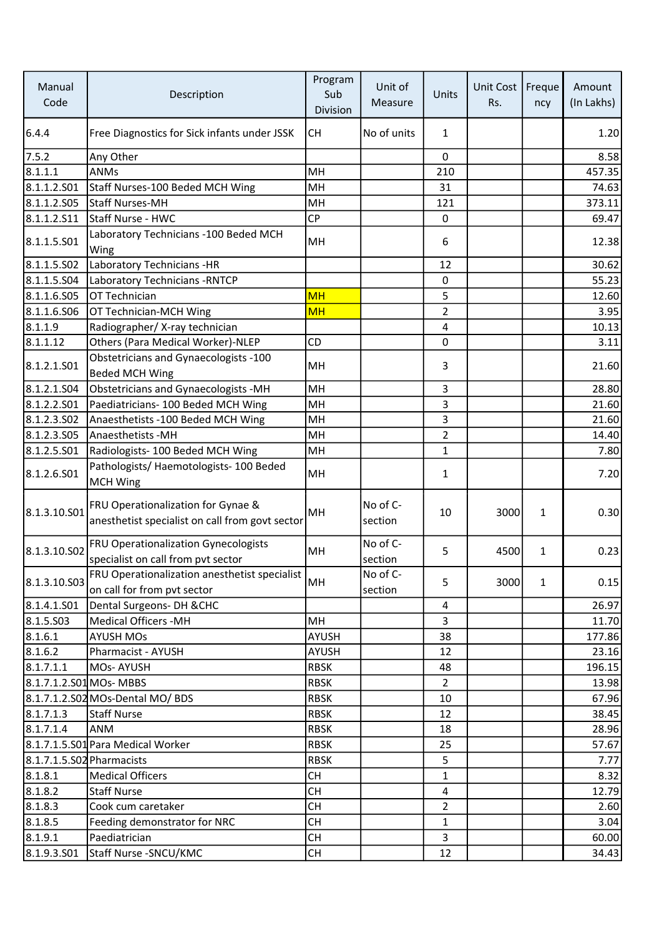| Manual<br>Code            | Description                                                                           | Program<br>Sub<br>Division | Unit of<br>Measure  | Units          | Unit Cost<br>Rs. | Freque<br>ncy | Amount<br>(In Lakhs) |
|---------------------------|---------------------------------------------------------------------------------------|----------------------------|---------------------|----------------|------------------|---------------|----------------------|
| 6.4.4                     | Free Diagnostics for Sick infants under JSSK                                          | <b>CH</b>                  | No of units         | 1              |                  |               | 1.20                 |
| 7.5.2                     | Any Other                                                                             |                            |                     | $\mathbf{0}$   |                  |               | 8.58                 |
| 8.1.1.1                   | <b>ANMs</b>                                                                           | MH                         |                     | 210            |                  |               | 457.35               |
| 8.1.1.2.501               | Staff Nurses-100 Beded MCH Wing                                                       | MH                         |                     | 31             |                  |               | 74.63                |
| 8.1.1.2.505               | Staff Nurses-MH                                                                       | MH                         |                     | 121            |                  |               | 373.11               |
| 8.1.1.2.511               | Staff Nurse - HWC                                                                     | <b>CP</b>                  |                     | $\pmb{0}$      |                  |               | 69.47                |
| 8.1.1.5.501               | Laboratory Technicians - 100 Beded MCH<br>Wing                                        | MH                         |                     | 6              |                  |               | 12.38                |
| 8.1.1.5.S02               | Laboratory Technicians -HR                                                            |                            |                     | 12             |                  |               | 30.62                |
| 8.1.1.5.504               | Laboratory Technicians - RNTCP                                                        |                            |                     | $\mathbf 0$    |                  |               | 55.23                |
| 8.1.1.6.S05               | OT Technician                                                                         | <b>MH</b>                  |                     | 5              |                  |               | 12.60                |
| 8.1.1.6.506               | OT Technician-MCH Wing                                                                | <b>MH</b>                  |                     | $\overline{2}$ |                  |               | 3.95                 |
| 8.1.1.9                   | Radiographer/X-ray technician                                                         |                            |                     | 4              |                  |               | 10.13                |
| 8.1.1.12                  | Others (Para Medical Worker)-NLEP                                                     | CD                         |                     | $\Omega$       |                  |               | 3.11                 |
| 8.1.2.1.501               | Obstetricians and Gynaecologists -100<br>Beded MCH Wing                               | MH                         |                     | 3              |                  |               | 21.60                |
| 8.1.2.1.504               | Obstetricians and Gynaecologists -MH                                                  | MH                         |                     | 3              |                  |               | 28.80                |
| 8.1.2.2.501               | Paediatricians- 100 Beded MCH Wing                                                    | MH                         |                     | 3              |                  |               | 21.60                |
| 8.1.2.3.502               | Anaesthetists - 100 Beded MCH Wing                                                    | MH                         |                     | 3              |                  |               | 21.60                |
| 8.1.2.3.505               | Anaesthetists - MH                                                                    | MH                         |                     | $\overline{2}$ |                  |               | 14.40                |
| 8.1.2.5.501               | Radiologists- 100 Beded MCH Wing                                                      | MH                         |                     | $\mathbf{1}$   |                  |               | 7.80                 |
| 8.1.2.6.S01               | Pathologists/ Haemotologists- 100 Beded<br><b>MCH Wing</b>                            | MH                         |                     | $\mathbf{1}$   |                  |               | 7.20                 |
| 8.1.3.10.501              | FRU Operationalization for Gynae &<br>anesthetist specialist on call from govt sector | MH                         | No of C-<br>section | 10             | 3000             | $\mathbf{1}$  | 0.30                 |
| 8.1.3.10.502              | FRU Operationalization Gynecologists<br>specialist on call from pvt sector            | MH                         | No of C-<br>section | 5              | 4500             | $\mathbf{1}$  | 0.23                 |
| 8.1.3.10.S03              | <b>FRU Operationalization anesthetist specialist</b><br>on call for from pvt sector   | MH                         | No of C-<br>section | 5              | 3000             | $\mathbf{1}$  | 0.15                 |
| 8.1.4.1.501               | Dental Surgeons- DH & CHC                                                             |                            |                     | 4              |                  |               | 26.97                |
| 8.1.5.503                 | <b>Medical Officers -MH</b>                                                           | MH                         |                     | 3              |                  |               | 11.70                |
| 8.1.6.1                   | <b>AYUSH MOs</b>                                                                      | AYUSH                      |                     | 38             |                  |               | 177.86               |
| 8.1.6.2                   | Pharmacist - AYUSH                                                                    | AYUSH                      |                     | 12             |                  |               | 23.16                |
| 8.1.7.1.1                 | MOs-AYUSH                                                                             | <b>RBSK</b>                |                     | 48             |                  |               | 196.15               |
| 8.1.7.1.2.S01 MOs-MBBS    |                                                                                       | <b>RBSK</b>                |                     | $\overline{2}$ |                  |               | 13.98                |
|                           | 8.1.7.1.2.S02 MOs-Dental MO/ BDS                                                      | <b>RBSK</b>                |                     | 10             |                  |               | 67.96                |
| 8.1.7.1.3                 | Staff Nurse                                                                           | <b>RBSK</b>                |                     | 12             |                  |               | 38.45                |
| 8.1.7.1.4                 | <b>ANM</b>                                                                            | <b>RBSK</b>                |                     | 18             |                  |               | 28.96                |
|                           | 8.1.7.1.5.S01 Para Medical Worker                                                     | <b>RBSK</b>                |                     | 25             |                  |               | 57.67                |
| 8.1.7.1.5.S02 Pharmacists |                                                                                       | <b>RBSK</b>                |                     | 5              |                  |               | 7.77                 |
| 8.1.8.1                   | <b>Medical Officers</b>                                                               | <b>CH</b>                  |                     | $\mathbf{1}$   |                  |               | 8.32                 |
| 8.1.8.2                   | <b>Staff Nurse</b>                                                                    | <b>CH</b>                  |                     | 4              |                  |               | 12.79                |
| 8.1.8.3                   | Cook cum caretaker                                                                    | <b>CH</b>                  |                     | 2              |                  |               | 2.60                 |
| 8.1.8.5                   | Feeding demonstrator for NRC                                                          | <b>CH</b>                  |                     | $\mathbf{1}$   |                  |               | 3.04                 |
| 8.1.9.1                   | Paediatrician                                                                         | <b>CH</b>                  |                     | 3              |                  |               | 60.00                |
| 8.1.9.3.501               | Staff Nurse - SNCU/KMC                                                                | <b>CH</b>                  |                     | 12             |                  |               | 34.43                |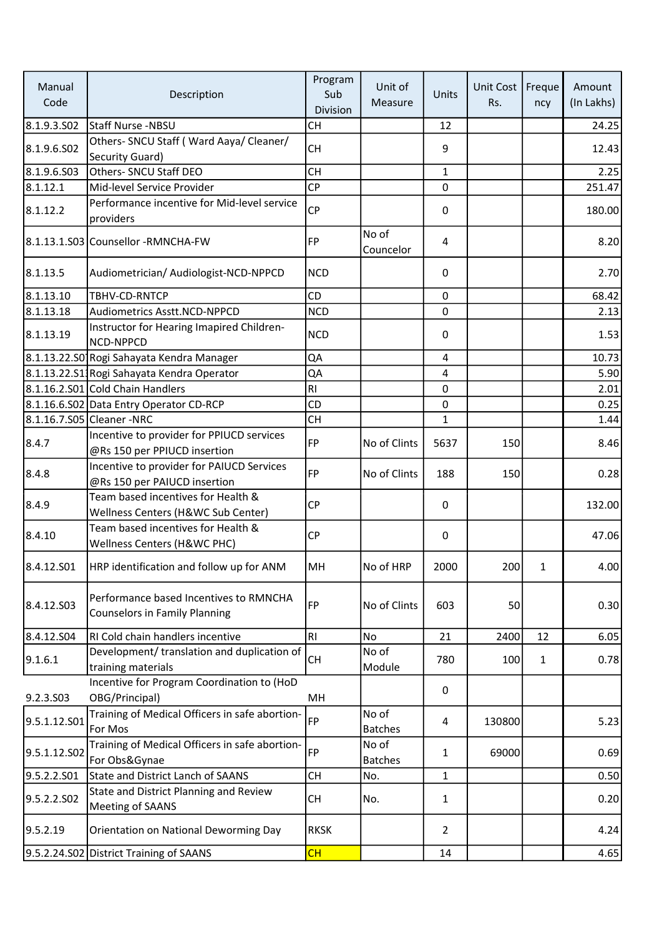| Manual<br>Code          | Description                                                                    | Program<br>Sub<br>Division | Unit of<br>Measure      | Units          | Unit Cost<br>Rs. | Freque<br>ncy | Amount<br>(In Lakhs) |
|-------------------------|--------------------------------------------------------------------------------|----------------------------|-------------------------|----------------|------------------|---------------|----------------------|
| 8.1.9.3.S02             | <b>Staff Nurse -NBSU</b>                                                       | <b>CH</b>                  |                         | 12             |                  |               | 24.25                |
| 8.1.9.6.SO <sub>2</sub> | Others- SNCU Staff (Ward Aaya/ Cleaner/<br>Security Guard)                     | <b>CH</b>                  |                         | 9              |                  |               | 12.43                |
| 8.1.9.6.S03             | Others- SNCU Staff DEO                                                         | <b>CH</b>                  |                         | $\mathbf{1}$   |                  |               | 2.25                 |
| 8.1.12.1                | Mid-level Service Provider                                                     | CP                         |                         | $\Omega$       |                  |               | 251.47               |
| 8.1.12.2                | Performance incentive for Mid-level service<br>providers                       | <b>CP</b>                  |                         | 0              |                  |               | 180.00               |
|                         | 8.1.13.1.S03 Counsellor -RMNCHA-FW                                             | <b>FP</b>                  | No of<br>Councelor      | $\overline{4}$ |                  |               | 8.20                 |
| 8.1.13.5                | Audiometrician/ Audiologist-NCD-NPPCD                                          | <b>NCD</b>                 |                         | 0              |                  |               | 2.70                 |
| 8.1.13.10               | TBHV-CD-RNTCP                                                                  | <b>CD</b>                  |                         | $\mathbf 0$    |                  |               | 68.42                |
| 8.1.13.18               | <b>Audiometrics Asstt.NCD-NPPCD</b>                                            | <b>NCD</b>                 |                         | 0              |                  |               | 2.13                 |
| 8.1.13.19               | Instructor for Hearing Imapired Children-<br>NCD-NPPCD                         | <b>NCD</b>                 |                         | 0              |                  |               | 1.53                 |
|                         | 8.1.13.22.S0 Rogi Sahayata Kendra Manager                                      | QA                         |                         | 4              |                  |               | 10.73                |
|                         | 8.1.13.22.S1. Rogi Sahayata Kendra Operator                                    | QA                         |                         | $\overline{4}$ |                  |               | 5.90                 |
|                         | 8.1.16.2.S01 Cold Chain Handlers                                               | RI                         |                         | $\mathbf 0$    |                  |               | 2.01                 |
|                         | 8.1.16.6.S02 Data Entry Operator CD-RCP                                        | CD                         |                         | 0              |                  |               | 0.25                 |
|                         | 8.1.16.7.S05 Cleaner -NRC                                                      | <b>CH</b>                  |                         | $\mathbf{1}$   |                  |               | 1.44                 |
| 8.4.7                   | Incentive to provider for PPIUCD services<br>@Rs 150 per PPIUCD insertion      | FP                         | No of Clints            | 5637           | 150              |               | 8.46                 |
| 8.4.8                   | Incentive to provider for PAIUCD Services<br>@Rs 150 per PAIUCD insertion      | <b>FP</b>                  | No of Clints            | 188            | 150              |               | 0.28                 |
| 8.4.9                   | Team based incentives for Health &<br>Wellness Centers (H&WC Sub Center)       | <b>CP</b>                  |                         | 0              |                  |               | 132.00               |
| 8.4.10                  | Team based incentives for Health &<br>Wellness Centers (H&WC PHC)              | CP                         |                         | 0              |                  |               | 47.06                |
| 8.4.12.S01              | HRP identification and follow up for ANM                                       | MH                         | No of HRP               | 2000           | 200              | 1             | 4.00                 |
| 8.4.12.503              | Performance based Incentives to RMNCHA<br><b>Counselors in Family Planning</b> | FP                         | No of Clints            | 603            | 50               |               | 0.30                 |
| 8.4.12.S04              | RI Cold chain handlers incentive                                               | RI                         | No                      | 21             | 2400             | 12            | 6.05                 |
| 9.1.6.1                 | Development/ translation and duplication of<br>training materials              | CH                         | No of<br>Module         | 780            | 100              | $\mathbf{1}$  | 0.78                 |
| 9.2.3.S03               | Incentive for Program Coordination to (HoD<br>OBG/Principal)                   | MH                         |                         | 0              |                  |               |                      |
| 9.5.1.12.501            | Training of Medical Officers in safe abortion-<br>For Mos                      | FP                         | No of<br><b>Batches</b> | 4              | 130800           |               | 5.23                 |
| 9.5.1.12.S02            | Training of Medical Officers in safe abortion-<br>For Obs&Gynae                | FP                         | No of<br><b>Batches</b> | 1              | 69000            |               | 0.69                 |
| 9.5.2.2.S01             | State and District Lanch of SAANS                                              | <b>CH</b>                  | No.                     | $\mathbf{1}$   |                  |               | 0.50                 |
| 9.5.2.2.SO2             | State and District Planning and Review<br>Meeting of SAANS                     | <b>CH</b>                  | No.                     | $\mathbf{1}$   |                  |               | 0.20                 |
| 9.5.2.19                | Orientation on National Deworming Day                                          | <b>RKSK</b>                |                         | $\overline{2}$ |                  |               | 4.24                 |
|                         | 9.5.2.24.S02 District Training of SAANS                                        | CH                         |                         | 14             |                  |               | 4.65                 |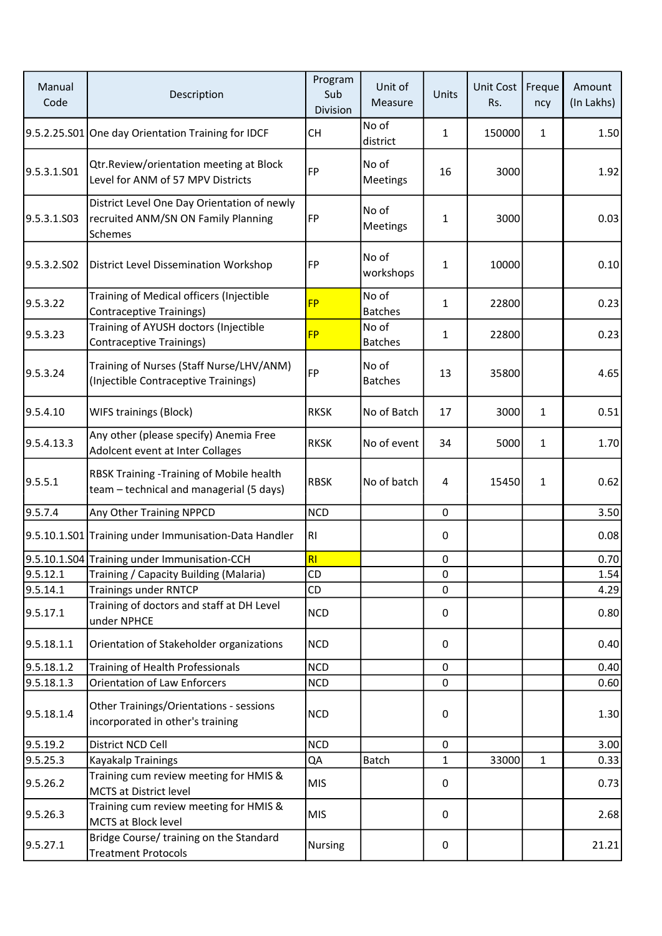| Manual<br>Code | Description                                                                                   | Program<br>Sub<br>Division | Unit of<br>Measure      | Units        | Unit Cost<br>Rs. | Freque<br>ncy | Amount<br>(In Lakhs) |
|----------------|-----------------------------------------------------------------------------------------------|----------------------------|-------------------------|--------------|------------------|---------------|----------------------|
|                | 9.5.2.25.S01 One day Orientation Training for IDCF                                            | CH                         | No of<br>district       | 1            | 150000           | 1             | 1.50                 |
| 9.5.3.1.501    | Qtr.Review/orientation meeting at Block<br>Level for ANM of 57 MPV Districts                  | FP                         | No of<br>Meetings       | 16           | 3000             |               | 1.92                 |
| 9.5.3.1.503    | District Level One Day Orientation of newly<br>recruited ANM/SN ON Family Planning<br>Schemes | FP                         | No of<br>Meetings       | 1            | 3000             |               | 0.03                 |
| 9.5.3.2.SO2    | <b>District Level Dissemination Workshop</b>                                                  | FP                         | No of<br>workshops      | 1            | 10000            |               | 0.10                 |
| 9.5.3.22       | Training of Medical officers (Injectible<br>Contraceptive Trainings)                          | <b>FP</b>                  | No of<br><b>Batches</b> | $\mathbf{1}$ | 22800            |               | 0.23                 |
| 9.5.3.23       | Training of AYUSH doctors (Injectible<br>Contraceptive Trainings)                             | <b>FP</b>                  | No of<br><b>Batches</b> | 1            | 22800            |               | 0.23                 |
| 9.5.3.24       | Training of Nurses (Staff Nurse/LHV/ANM)<br>(Injectible Contraceptive Trainings)              | FP                         | No of<br><b>Batches</b> | 13           | 35800            |               | 4.65                 |
| 9.5.4.10       | <b>WIFS trainings (Block)</b>                                                                 | <b>RKSK</b>                | No of Batch             | 17           | 3000             | $\mathbf{1}$  | 0.51                 |
| 9.5.4.13.3     | Any other (please specify) Anemia Free<br>Adolcent event at Inter Collages                    | <b>RKSK</b>                | No of event             | 34           | 5000             | $\mathbf{1}$  | 1.70                 |
| 9.5.5.1        | RBSK Training -Training of Mobile health<br>team - technical and managerial (5 days)          | <b>RBSK</b>                | No of batch             | 4            | 15450            | $\mathbf{1}$  | 0.62                 |
| 9.5.7.4        | Any Other Training NPPCD                                                                      | <b>NCD</b>                 |                         | 0            |                  |               | 3.50                 |
|                | 9.5.10.1.S01 Training under Immunisation-Data Handler                                         | R <sub>1</sub>             |                         | 0            |                  |               | 0.08                 |
|                | 9.5.10.1.S04 Training under Immunisation-CCH                                                  | R1                         |                         | $\pmb{0}$    |                  |               | 0.70                 |
| 9.5.12.1       | Training / Capacity Building (Malaria)                                                        | CD                         |                         | 0            |                  |               | 1.54                 |
| 9.5.14.1       | <b>Trainings under RNTCP</b>                                                                  | CD                         |                         | $\mathbf 0$  |                  |               | 4.29                 |
| 9.5.17.1       | Training of doctors and staff at DH Level<br>under NPHCE                                      | <b>NCD</b>                 |                         | 0            |                  |               | 0.80                 |
| 9.5.18.1.1     | Orientation of Stakeholder organizations                                                      | <b>NCD</b>                 |                         | 0            |                  |               | 0.40                 |
| 9.5.18.1.2     | Training of Health Professionals                                                              | <b>NCD</b>                 |                         | $\mathbf 0$  |                  |               | 0.40                 |
| 9.5.18.1.3     | Orientation of Law Enforcers                                                                  | <b>NCD</b>                 |                         | $\mathbf 0$  |                  |               | 0.60                 |
| 9.5.18.1.4     | Other Trainings/Orientations - sessions<br>incorporated in other's training                   | <b>NCD</b>                 |                         | $\pmb{0}$    |                  |               | 1.30                 |
| 9.5.19.2       | District NCD Cell                                                                             | <b>NCD</b>                 |                         | 0            |                  |               | 3.00                 |
| 9.5.25.3       | Kayakalp Trainings                                                                            | QA                         | Batch                   | $\mathbf{1}$ | 33000            | $\mathbf{1}$  | 0.33                 |
| 9.5.26.2       | Training cum review meeting for HMIS &<br>MCTS at District level                              | <b>MIS</b>                 |                         | 0            |                  |               | 0.73                 |
| 9.5.26.3       | Training cum review meeting for HMIS &<br>MCTS at Block level                                 | <b>MIS</b>                 |                         | 0            |                  |               | 2.68                 |
| 9.5.27.1       | Bridge Course/ training on the Standard<br><b>Treatment Protocols</b>                         | Nursing                    |                         | 0            |                  |               | 21.21                |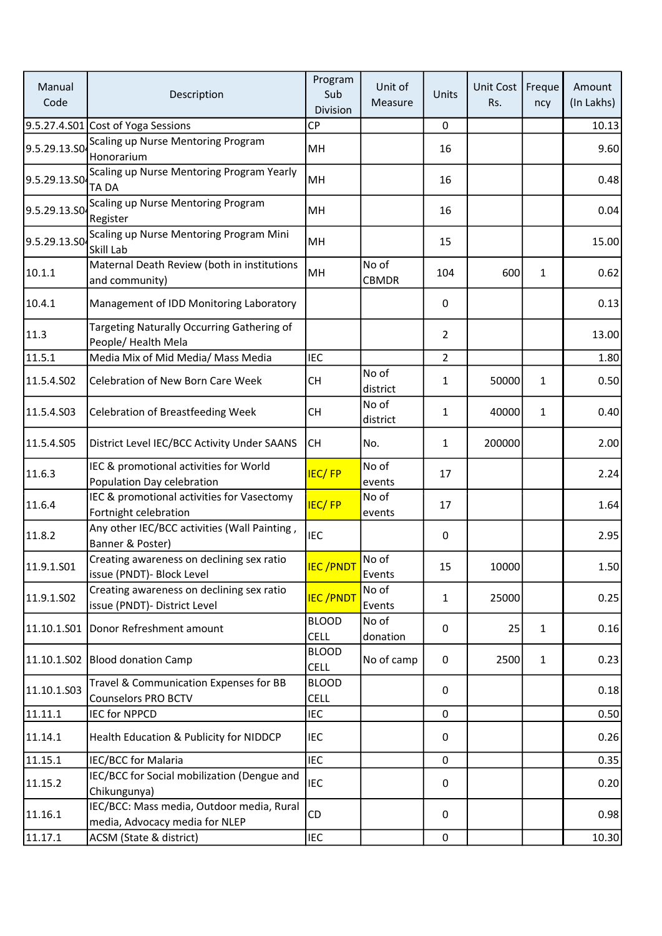| Manual<br>Code | Description                                                                 | Program<br>Sub<br>Division  | Unit of<br>Measure    | Units          | <b>Unit Cost</b><br>Rs. | Freque<br>ncy | Amount<br>(In Lakhs) |
|----------------|-----------------------------------------------------------------------------|-----------------------------|-----------------------|----------------|-------------------------|---------------|----------------------|
|                | 9.5.27.4.S01 Cost of Yoga Sessions                                          | <b>CP</b>                   |                       | 0              |                         |               | 10.13                |
| 9.5.29.13.SO   | Scaling up Nurse Mentoring Program<br>Honorarium                            | MH                          |                       | 16             |                         |               | 9.60                 |
| 9.5.29.13.S0   | Scaling up Nurse Mentoring Program Yearly<br>TA DA                          | MH                          |                       | 16             |                         |               | 0.48                 |
| 9.5.29.13.SO   | Scaling up Nurse Mentoring Program<br>Register                              | MH                          |                       | 16             |                         |               | 0.04                 |
| 9.5.29.13.SO   | Scaling up Nurse Mentoring Program Mini<br>Skill Lab                        | MH                          |                       | 15             |                         |               | 15.00                |
| 10.1.1         | Maternal Death Review (both in institutions<br>and community)               | MH                          | No of<br><b>CBMDR</b> | 104            | 600                     | 1             | 0.62                 |
| 10.4.1         | Management of IDD Monitoring Laboratory                                     |                             |                       | 0              |                         |               | 0.13                 |
| 11.3           | Targeting Naturally Occurring Gathering of<br>People/ Health Mela           |                             |                       | 2              |                         |               | 13.00                |
| 11.5.1         | Media Mix of Mid Media/ Mass Media                                          | <b>IEC</b>                  |                       | $\overline{2}$ |                         |               | 1.80                 |
| 11.5.4.S02     | <b>Celebration of New Born Care Week</b>                                    | <b>CH</b>                   | No of<br>district     | $\mathbf{1}$   | 50000                   | $\mathbf{1}$  | 0.50                 |
| 11.5.4.S03     | <b>Celebration of Breastfeeding Week</b>                                    | <b>CH</b>                   | No of<br>district     | $\mathbf 1$    | 40000                   | 1             | 0.40                 |
| 11.5.4.S05     | District Level IEC/BCC Activity Under SAANS                                 | <b>CH</b>                   | No.                   | $\mathbf{1}$   | 200000                  |               | 2.00                 |
| 11.6.3         | IEC & promotional activities for World<br>Population Day celebration        | <b>IEC/FP</b>               | No of<br>events       | 17             |                         |               | 2.24                 |
| 11.6.4         | IEC & promotional activities for Vasectomy<br>Fortnight celebration         | <b>IEC/FP</b>               | No of<br>events       | 17             |                         |               | 1.64                 |
| 11.8.2         | Any other IEC/BCC activities (Wall Painting,<br>Banner & Poster)            | <b>IEC</b>                  |                       | 0              |                         |               | 2.95                 |
| 11.9.1.S01     | Creating awareness on declining sex ratio<br>issue (PNDT)- Block Level      | <b>IEC/PNDT</b>             | No of<br>Events       | 15             | 10000                   |               | 1.50                 |
| 11.9.1.SO2     | Creating awareness on declining sex ratio<br>issue (PNDT)- District Level   | <b>IEC/PNDT</b>             | No of<br>Events       | $\mathbf{1}$   | 25000                   |               | 0.25                 |
|                | 11.10.1.S01 Donor Refreshment amount                                        | <b>BLOOD</b><br><b>CELL</b> | No of<br>donation     | 0              | 25                      | $\mathbf{1}$  | 0.16                 |
|                | 11.10.1.S02 Blood donation Camp                                             | <b>BLOOD</b><br><b>CELL</b> | No of camp            | 0              | 2500                    | 1             | 0.23                 |
| 11.10.1.503    | Travel & Communication Expenses for BB<br><b>Counselors PRO BCTV</b>        | <b>BLOOD</b><br><b>CELL</b> |                       | 0              |                         |               | 0.18                 |
| 11.11.1        | <b>IEC for NPPCD</b>                                                        | <b>IEC</b>                  |                       | $\mathbf 0$    |                         |               | 0.50                 |
| 11.14.1        | Health Education & Publicity for NIDDCP                                     | <b>IEC</b>                  |                       | 0              |                         |               | 0.26                 |
| 11.15.1        | IEC/BCC for Malaria                                                         | <b>IEC</b>                  |                       | 0              |                         |               | 0.35                 |
| 11.15.2        | IEC/BCC for Social mobilization (Dengue and<br>Chikungunya)                 | IEC                         |                       | 0              |                         |               | 0.20                 |
| 11.16.1        | IEC/BCC: Mass media, Outdoor media, Rural<br>media, Advocacy media for NLEP | CD                          |                       | 0              |                         |               | 0.98                 |
| 11.17.1        | ACSM (State & district)                                                     | IEC                         |                       | $\pmb{0}$      |                         |               | 10.30                |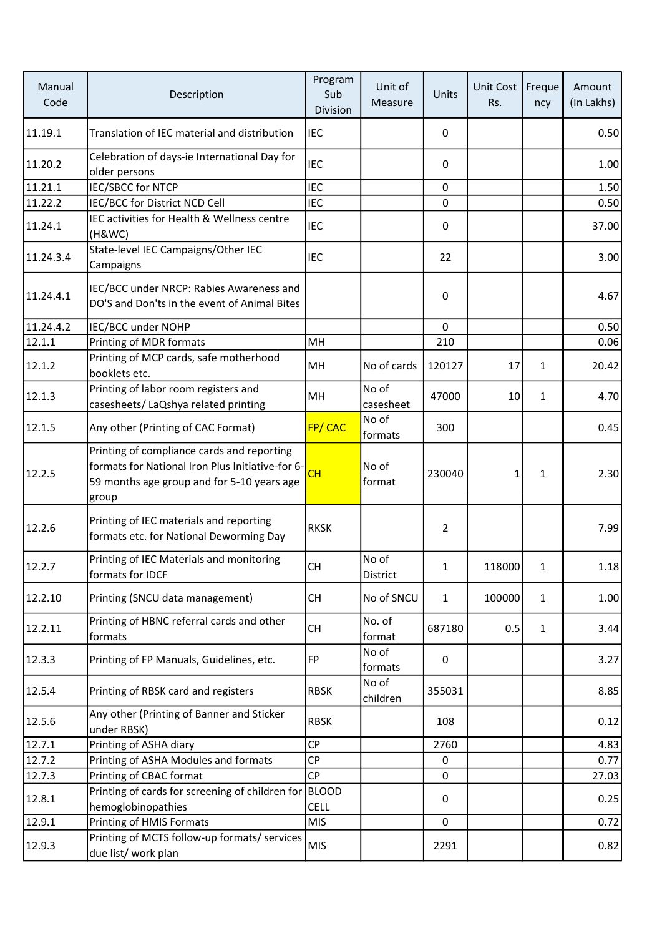| Manual<br>Code | Description                                                                                                                                           | Program<br>Sub<br>Division  | Unit of<br>Measure | Units          | Unit Cost<br>Rs. | Freque<br>ncy | Amount<br>(In Lakhs) |
|----------------|-------------------------------------------------------------------------------------------------------------------------------------------------------|-----------------------------|--------------------|----------------|------------------|---------------|----------------------|
| 11.19.1        | Translation of IEC material and distribution                                                                                                          | <b>IEC</b>                  |                    | 0              |                  |               | 0.50                 |
| 11.20.2        | Celebration of days-ie International Day for<br>older persons                                                                                         | <b>IEC</b>                  |                    | 0              |                  |               | 1.00                 |
| 11.21.1        | IEC/SBCC for NTCP                                                                                                                                     | <b>IEC</b>                  |                    | $\mathbf{0}$   |                  |               | 1.50                 |
| 11.22.2        | IEC/BCC for District NCD Cell                                                                                                                         | <b>IEC</b>                  |                    | $\mathbf 0$    |                  |               | 0.50                 |
| 11.24.1        | IEC activities for Health & Wellness centre<br>(H&WC)                                                                                                 | <b>IEC</b>                  |                    | 0              |                  |               | 37.00                |
| 11.24.3.4      | State-level IEC Campaigns/Other IEC<br>Campaigns                                                                                                      | <b>IEC</b>                  |                    | 22             |                  |               | 3.00                 |
| 11.24.4.1      | IEC/BCC under NRCP: Rabies Awareness and<br>DO'S and Don'ts in the event of Animal Bites                                                              |                             |                    | 0              |                  |               | 4.67                 |
| 11.24.4.2      | IEC/BCC under NOHP                                                                                                                                    |                             |                    | $\mathbf 0$    |                  |               | 0.50                 |
| 12.1.1         | Printing of MDR formats                                                                                                                               | MH                          |                    | 210            |                  |               | 0.06                 |
| 12.1.2         | Printing of MCP cards, safe motherhood<br>booklets etc.                                                                                               | MH                          | No of cards        | 120127         | 17               | 1             | 20.42                |
| 12.1.3         | Printing of labor room registers and<br>casesheets/ LaQshya related printing                                                                          | MH                          | No of<br>casesheet | 47000          | 10               | $\mathbf{1}$  | 4.70                 |
| 12.1.5         | Any other (Printing of CAC Format)                                                                                                                    | FP/CAC                      | No of<br>formats   | 300            |                  |               | 0.45                 |
| 12.2.5         | Printing of compliance cards and reporting<br>formats for National Iron Plus Initiative-for 6-<br>59 months age group and for 5-10 years age<br>group | <b>CH</b>                   | No of<br>format    | 230040         | 1                | $\mathbf{1}$  | 2.30                 |
| 12.2.6         | Printing of IEC materials and reporting<br>formats etc. for National Deworming Day                                                                    | <b>RKSK</b>                 |                    | $\overline{2}$ |                  |               | 7.99                 |
| 12.2.7         | Printing of IEC Materials and monitoring<br>formats for IDCF                                                                                          | СH                          | No of<br>District  | 1              | 118000           | 1             | 1.18                 |
| 12.2.10        | Printing (SNCU data management)                                                                                                                       | <b>CH</b>                   | No of SNCU         | $\mathbf{1}$   | 100000           | $\mathbf{1}$  | 1.00                 |
| 12.2.11        | Printing of HBNC referral cards and other<br>formats                                                                                                  | <b>CH</b>                   | No. of<br>format   | 687180         | 0.5              | $\mathbf{1}$  | 3.44                 |
| 12.3.3         | Printing of FP Manuals, Guidelines, etc.                                                                                                              | <b>FP</b>                   | No of<br>formats   | 0              |                  |               | 3.27                 |
| 12.5.4         | Printing of RBSK card and registers                                                                                                                   | <b>RBSK</b>                 | No of<br>children  | 355031         |                  |               | 8.85                 |
| 12.5.6         | Any other (Printing of Banner and Sticker<br>under RBSK)                                                                                              | <b>RBSK</b>                 |                    | 108            |                  |               | 0.12                 |
| 12.7.1         | Printing of ASHA diary                                                                                                                                | <b>CP</b>                   |                    | 2760           |                  |               | 4.83                 |
| 12.7.2         | Printing of ASHA Modules and formats                                                                                                                  | <b>CP</b>                   |                    | $\mathbf{0}$   |                  |               | 0.77                 |
| 12.7.3         | Printing of CBAC format                                                                                                                               | CP                          |                    | 0              |                  |               | 27.03                |
| 12.8.1         | Printing of cards for screening of children for<br>hemoglobinopathies                                                                                 | <b>BLOOD</b><br><b>CELL</b> |                    | 0              |                  |               | 0.25                 |
| 12.9.1         | Printing of HMIS Formats                                                                                                                              | <b>MIS</b>                  |                    | $\mathbf{0}$   |                  |               | 0.72                 |
| 12.9.3         | Printing of MCTS follow-up formats/ services<br>due list/ work plan                                                                                   | <b>MIS</b>                  |                    | 2291           |                  |               | 0.82                 |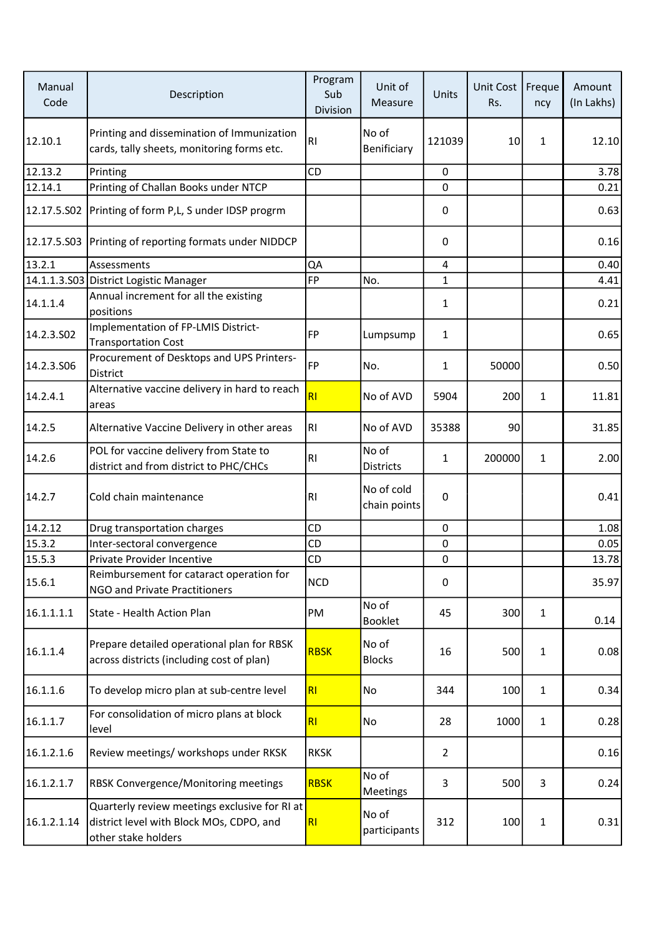| Manual<br>Code | Description                                                                                                      | Program<br>Sub<br>Division | Unit of<br>Measure         | Units          | Unit Cost<br>Rs. | Freque<br>ncy | Amount<br>(In Lakhs) |
|----------------|------------------------------------------------------------------------------------------------------------------|----------------------------|----------------------------|----------------|------------------|---------------|----------------------|
| 12.10.1        | Printing and dissemination of Immunization<br>cards, tally sheets, monitoring forms etc.                         | R <sub>l</sub>             | No of<br>Benificiary       | 121039         | 10               | $\mathbf{1}$  | 12.10                |
| 12.13.2        | Printing                                                                                                         | CD                         |                            | 0              |                  |               | 3.78                 |
| 12.14.1        | Printing of Challan Books under NTCP                                                                             |                            |                            | $\Omega$       |                  |               | 0.21                 |
| 12.17.5.S02    | Printing of form P,L, S under IDSP progrm                                                                        |                            |                            | 0              |                  |               | 0.63                 |
|                | 12.17.5.S03 Printing of reporting formats under NIDDCP                                                           |                            |                            | 0              |                  |               | 0.16                 |
| 13.2.1         | Assessments                                                                                                      | QA                         |                            | $\sqrt{4}$     |                  |               | 0.40                 |
|                | 14.1.1.3.S03 District Logistic Manager                                                                           | <b>FP</b>                  | No.                        | 1              |                  |               | 4.41                 |
| 14.1.1.4       | Annual increment for all the existing<br>positions                                                               |                            |                            | $\mathbf{1}$   |                  |               | 0.21                 |
| 14.2.3.502     | Implementation of FP-LMIS District-<br><b>Transportation Cost</b>                                                | <b>FP</b>                  | Lumpsump                   | $\mathbf 1$    |                  |               | 0.65                 |
| 14.2.3.506     | Procurement of Desktops and UPS Printers-<br>District                                                            | FP                         | No.                        | $\mathbf{1}$   | 50000            |               | 0.50                 |
| 14.2.4.1       | Alternative vaccine delivery in hard to reach<br>areas                                                           | RI                         | No of AVD                  | 5904           | 200              | $\mathbf{1}$  | 11.81                |
| 14.2.5         | Alternative Vaccine Delivery in other areas                                                                      | RI                         | No of AVD                  | 35388          | 90               |               | 31.85                |
| 14.2.6         | POL for vaccine delivery from State to<br>district and from district to PHC/CHCs                                 | R <sub>1</sub>             | No of<br><b>Districts</b>  | $\mathbf 1$    | 200000           | $\mathbf{1}$  | 2.00                 |
| 14.2.7         | Cold chain maintenance                                                                                           | R <sub>1</sub>             | No of cold<br>chain points | 0              |                  |               | 0.41                 |
| 14.2.12        | Drug transportation charges                                                                                      | CD                         |                            | 0              |                  |               | 1.08                 |
| 15.3.2         | Inter-sectoral convergence                                                                                       | CD                         |                            | 0              |                  |               | 0.05                 |
| 15.5.3         | Private Provider Incentive                                                                                       | CD                         |                            | $\pmb{0}$      |                  |               | 13.78                |
| 15.6.1         | Reimbursement for cataract operation for<br>NGO and Private Practitioners                                        | <b>NCD</b>                 |                            | 0              |                  |               | 35.97                |
| 16.1.1.1.1     | State - Health Action Plan                                                                                       | PM                         | No of<br><b>Booklet</b>    | 45             | 300              | $\mathbf{1}$  | 0.14                 |
| 16.1.1.4       | Prepare detailed operational plan for RBSK<br>across districts (including cost of plan)                          | <b>RBSK</b>                | No of<br><b>Blocks</b>     | 16             | 500              | $\mathbf{1}$  | 0.08                 |
| 16.1.1.6       | To develop micro plan at sub-centre level                                                                        | RI                         | No                         | 344            | 100              | $\mathbf{1}$  | 0.34                 |
| 16.1.1.7       | For consolidation of micro plans at block<br>level                                                               | RI                         | No                         | 28             | 1000             | $\mathbf{1}$  | 0.28                 |
| 16.1.2.1.6     | Review meetings/ workshops under RKSK                                                                            | <b>RKSK</b>                |                            | $\overline{2}$ |                  |               | 0.16                 |
| 16.1.2.1.7     | <b>RBSK Convergence/Monitoring meetings</b>                                                                      | <b>RBSK</b>                | No of<br>Meetings          | 3              | 500              | 3             | 0.24                 |
| 16.1.2.1.14    | Quarterly review meetings exclusive for RI at<br>district level with Block MOs, CDPO, and<br>other stake holders | RI                         | No of<br>participants      | 312            | 100              | $\mathbf{1}$  | 0.31                 |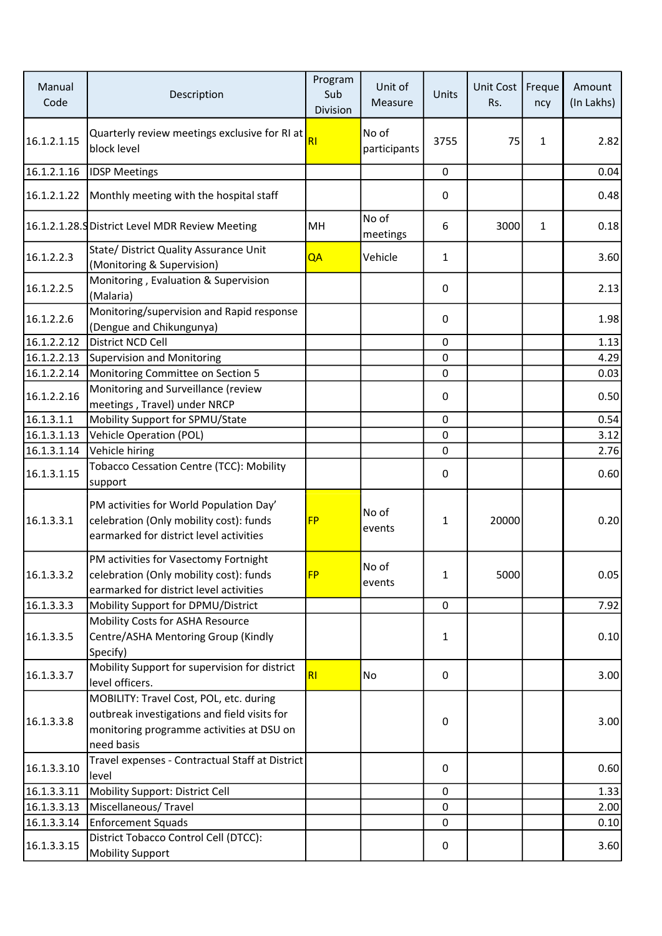| Manual<br>Code | Description                                                                                                                                        | Program<br>Sub<br>Division | Unit of<br>Measure    | Units        | Unit Cost<br>Rs. | Freque<br>ncy | Amount<br>(In Lakhs) |
|----------------|----------------------------------------------------------------------------------------------------------------------------------------------------|----------------------------|-----------------------|--------------|------------------|---------------|----------------------|
| 16.1.2.1.15    | Quarterly review meetings exclusive for RI at<br>block level                                                                                       | R <sub>l</sub>             | No of<br>participants | 3755         | 75               | 1             | 2.82                 |
| 16.1.2.1.16    | <b>IDSP Meetings</b>                                                                                                                               |                            |                       | 0            |                  |               | 0.04                 |
| 16.1.2.1.22    | Monthly meeting with the hospital staff                                                                                                            |                            |                       | 0            |                  |               | 0.48                 |
|                | 16.1.2.1.28. SDistrict Level MDR Review Meeting                                                                                                    | MH                         | No of<br>meetings     | 6            | 3000             | 1             | 0.18                 |
| 16.1.2.2.3     | State/ District Quality Assurance Unit<br>(Monitoring & Supervision)                                                                               | QA                         | Vehicle               | $\mathbf{1}$ |                  |               | 3.60                 |
| 16.1.2.2.5     | Monitoring, Evaluation & Supervision<br>(Malaria)                                                                                                  |                            |                       | 0            |                  |               | 2.13                 |
| 16.1.2.2.6     | Monitoring/supervision and Rapid response<br>(Dengue and Chikungunya)                                                                              |                            |                       | 0            |                  |               | 1.98                 |
| 16.1.2.2.12    | District NCD Cell                                                                                                                                  |                            |                       | $\mathbf 0$  |                  |               | 1.13                 |
| 16.1.2.2.13    | <b>Supervision and Monitoring</b>                                                                                                                  |                            |                       | 0            |                  |               | 4.29                 |
| 16.1.2.2.14    | Monitoring Committee on Section 5                                                                                                                  |                            |                       | 0            |                  |               | 0.03                 |
| 16.1.2.2.16    | Monitoring and Surveillance (review<br>meetings, Travel) under NRCP                                                                                |                            |                       | 0            |                  |               | 0.50                 |
| 16.1.3.1.1     | Mobility Support for SPMU/State                                                                                                                    |                            |                       | 0            |                  |               | 0.54                 |
| 16.1.3.1.13    | <b>Vehicle Operation (POL)</b>                                                                                                                     |                            |                       | 0            |                  |               | 3.12                 |
| 16.1.3.1.14    | Vehicle hiring                                                                                                                                     |                            |                       | 0            |                  |               | 2.76                 |
| 16.1.3.1.15    | Tobacco Cessation Centre (TCC): Mobility<br>support                                                                                                |                            |                       | 0            |                  |               | 0.60                 |
| 16.1.3.3.1     | PM activities for World Population Day'<br>celebration (Only mobility cost): funds<br>earmarked for district level activities                      | <b>FP</b>                  | No of<br>events       | 1            | 20000            |               | 0.20                 |
| 16.1.3.3.2     | PM activities for Vasectomy Fortnight<br>celebration (Only mobility cost): funds<br>earmarked for district level activities                        | <b>FP</b>                  | No of<br>events       | 1            | 5000             |               | 0.05                 |
| 16.1.3.3.3     | Mobility Support for DPMU/District                                                                                                                 |                            |                       | 0            |                  |               | 7.92                 |
| 16.1.3.3.5     | Mobility Costs for ASHA Resource<br>Centre/ASHA Mentoring Group (Kindly<br>Specify)                                                                |                            |                       | $\mathbf{1}$ |                  |               | 0.10                 |
| 16.1.3.3.7     | Mobility Support for supervision for district<br>level officers.                                                                                   | RI                         | No                    | 0            |                  |               | 3.00                 |
| 16.1.3.3.8     | MOBILITY: Travel Cost, POL, etc. during<br>outbreak investigations and field visits for<br>monitoring programme activities at DSU on<br>need basis |                            |                       | 0            |                  |               | 3.00                 |
| 16.1.3.3.10    | Travel expenses - Contractual Staff at District<br>level                                                                                           |                            |                       | 0            |                  |               | 0.60                 |
| 16.1.3.3.11    | Mobility Support: District Cell                                                                                                                    |                            |                       | 0            |                  |               | 1.33                 |
| 16.1.3.3.13    | Miscellaneous/Travel                                                                                                                               |                            |                       | 0            |                  |               | 2.00                 |
| 16.1.3.3.14    | <b>Enforcement Squads</b>                                                                                                                          |                            |                       | $\mathbf 0$  |                  |               | 0.10                 |
| 16.1.3.3.15    | District Tobacco Control Cell (DTCC):<br><b>Mobility Support</b>                                                                                   |                            |                       | 0            |                  |               | 3.60                 |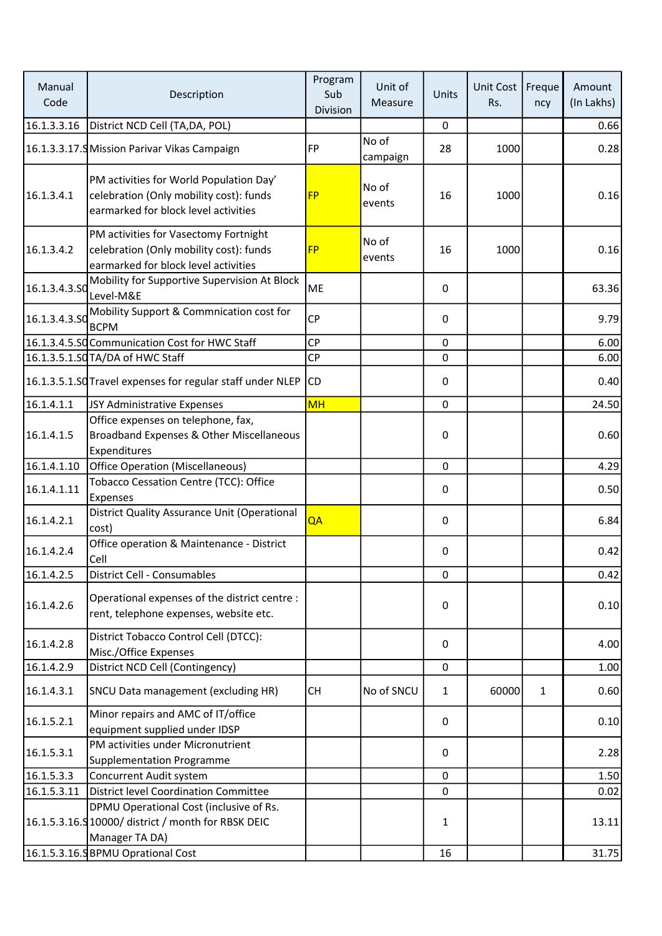| Manual<br>Code | Description                                                                                                                | Program<br>Sub<br>Division | Unit of<br>Measure | Units        | Unit Cost<br>Rs. | Freque<br>ncy | Amount<br>(In Lakhs) |
|----------------|----------------------------------------------------------------------------------------------------------------------------|----------------------------|--------------------|--------------|------------------|---------------|----------------------|
| 16.1.3.3.16    | District NCD Cell (TA, DA, POL)                                                                                            |                            |                    | 0            |                  |               | 0.66                 |
|                | 16.1.3.3.17.9 Mission Parivar Vikas Campaign                                                                               | <b>FP</b>                  | No of<br>campaign  | 28           | 1000             |               | 0.28                 |
| 16.1.3.4.1     | PM activities for World Population Day'<br>celebration (Only mobility cost): funds<br>earmarked for block level activities | <b>FP</b>                  | No of<br>events    | 16           | 1000             |               | 0.16                 |
| 16.1.3.4.2     | PM activities for Vasectomy Fortnight<br>celebration (Only mobility cost): funds<br>earmarked for block level activities   | <b>FP</b>                  | No of<br>events    | 16           | 1000             |               | 0.16                 |
| 16.1.3.4.3.50  | Mobility for Supportive Supervision At Block<br>Level-M&E                                                                  | <b>ME</b>                  |                    | 0            |                  |               | 63.36                |
|                | 16.1.3.4.3.SO Mobility Support & Commnication cost for<br><b>BCPM</b>                                                      | CP                         |                    | 0            |                  |               | 9.79                 |
|                | 16.1.3.4.5.SQ Communication Cost for HWC Staff                                                                             | <b>CP</b>                  |                    | $\mathbf 0$  |                  |               | 6.00                 |
|                | 16.1.3.5.1.SQTA/DA of HWC Staff                                                                                            | CP                         |                    | 0            |                  |               | 6.00                 |
|                | 16.1.3.5.1.SO Travel expenses for regular staff under NLEP                                                                 | CD                         |                    | 0            |                  |               | 0.40                 |
| 16.1.4.1.1     | JSY Administrative Expenses                                                                                                | <b>MH</b>                  |                    | $\mathbf 0$  |                  |               | 24.50                |
| 16.1.4.1.5     | Office expenses on telephone, fax,<br>Broadband Expenses & Other Miscellaneous<br>Expenditures                             |                            |                    | 0            |                  |               | 0.60                 |
| 16.1.4.1.10    | Office Operation (Miscellaneous)                                                                                           |                            |                    | 0            |                  |               | 4.29                 |
| 16.1.4.1.11    | Tobacco Cessation Centre (TCC): Office<br>Expenses                                                                         |                            |                    | 0            |                  |               | 0.50                 |
| 16.1.4.2.1     | District Quality Assurance Unit (Operational<br>cost)                                                                      | QA                         |                    | 0            |                  |               | 6.84                 |
| 16.1.4.2.4     | Office operation & Maintenance - District<br>Cell                                                                          |                            |                    | 0            |                  |               | 0.42                 |
| 16.1.4.2.5     | District Cell - Consumables                                                                                                |                            |                    | 0            |                  |               | 0.42                 |
| 16.1.4.2.6     | Operational expenses of the district centre :<br>rent, telephone expenses, website etc.                                    |                            |                    | 0            |                  |               | 0.10                 |
| 16.1.4.2.8     | District Tobacco Control Cell (DTCC):<br>Misc./Office Expenses                                                             |                            |                    | 0            |                  |               | 4.00                 |
| 16.1.4.2.9     | District NCD Cell (Contingency)                                                                                            |                            |                    | $\mathbf 0$  |                  |               | 1.00                 |
| 16.1.4.3.1     | SNCU Data management (excluding HR)                                                                                        | <b>CH</b>                  | No of SNCU         | $\mathbf{1}$ | 60000            | $\mathbf{1}$  | 0.60                 |
| 16.1.5.2.1     | Minor repairs and AMC of IT/office<br>equipment supplied under IDSP                                                        |                            |                    | 0            |                  |               | 0.10                 |
| 16.1.5.3.1     | PM activities under Micronutrient<br>Supplementation Programme                                                             |                            |                    | 0            |                  |               | 2.28                 |
| 16.1.5.3.3     | Concurrent Audit system                                                                                                    |                            |                    | 0            |                  |               | 1.50                 |
| 16.1.5.3.11    | District level Coordination Committee                                                                                      |                            |                    | 0            |                  |               | 0.02                 |
|                | DPMU Operational Cost (inclusive of Rs.<br>16.1.5.3.16.9 10000/ district / month for RBSK DEIC<br>Manager TA DA)           |                            |                    | $\mathbf{1}$ |                  |               | 13.11                |
|                | 16.1.5.3.16.SBPMU Oprational Cost                                                                                          |                            |                    | 16           |                  |               | 31.75                |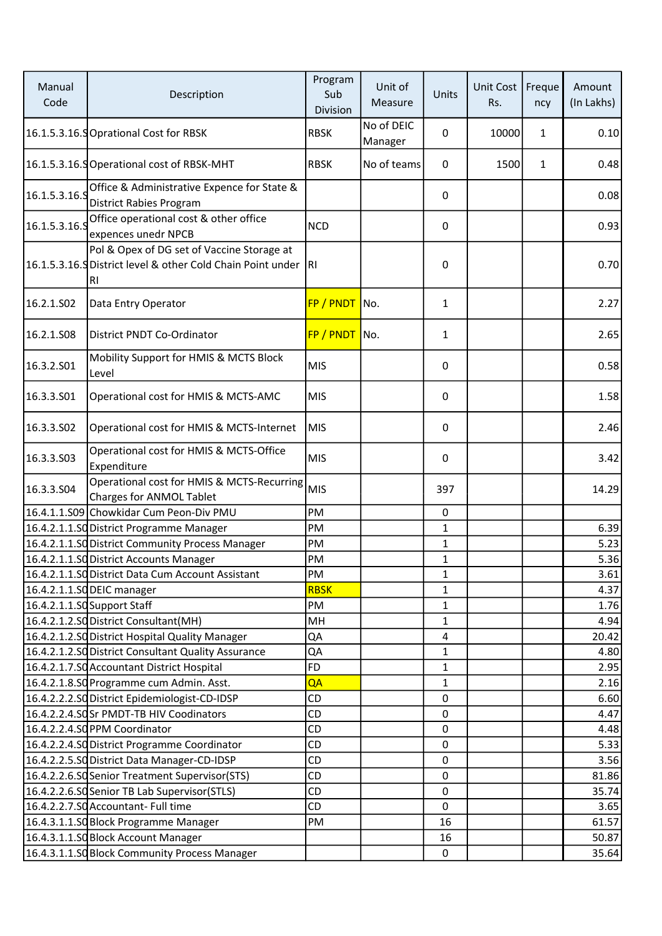| Manual<br>Code | Description                                                                                                         | Program<br>Sub<br>Division | Unit of<br>Measure    | Units        | Unit Cost<br>Rs. | Freque<br>ncy | Amount<br>(In Lakhs) |
|----------------|---------------------------------------------------------------------------------------------------------------------|----------------------------|-----------------------|--------------|------------------|---------------|----------------------|
|                | 16.1.5.3.16.9 Oprational Cost for RBSK                                                                              | <b>RBSK</b>                | No of DEIC<br>Manager | 0            | 10000            | 1             | 0.10                 |
|                | 16.1.5.3.16.S Operational cost of RBSK-MHT                                                                          | <b>RBSK</b>                | No of teams           | 0            | 1500             | $\mathbf{1}$  | 0.48                 |
| 16.1.5.3.16.5  | Office & Administrative Expence for State &<br><b>District Rabies Program</b>                                       |                            |                       | 0            |                  |               | 0.08                 |
| 16.1.5.3.16.5  | Office operational cost & other office<br>expences unedr NPCB                                                       | <b>NCD</b>                 |                       | 0            |                  |               | 0.93                 |
|                | Pol & Opex of DG set of Vaccine Storage at<br>16.1.5.3.16. Spistrict level & other Cold Chain Point under RI<br>RI. |                            |                       | 0            |                  |               | 0.70                 |
| 16.2.1.502     | Data Entry Operator                                                                                                 | FP / PNDT No.              |                       | 1            |                  |               | 2.27                 |
| 16.2.1.S08     | District PNDT Co-Ordinator                                                                                          | FP / PNDT No.              |                       | 1            |                  |               | 2.65                 |
| 16.3.2.S01     | Mobility Support for HMIS & MCTS Block<br>Level                                                                     | <b>MIS</b>                 |                       | 0            |                  |               | 0.58                 |
| 16.3.3.501     | Operational cost for HMIS & MCTS-AMC                                                                                | <b>MIS</b>                 |                       | 0            |                  |               | 1.58                 |
| 16.3.3.S02     | Operational cost for HMIS & MCTS-Internet                                                                           | MIS                        |                       | 0            |                  |               | 2.46                 |
| 16.3.3.S03     | Operational cost for HMIS & MCTS-Office<br>Expenditure                                                              | <b>MIS</b>                 |                       | 0            |                  |               | 3.42                 |
| 16.3.3.504     | Operational cost for HMIS & MCTS-Recurring<br><b>Charges for ANMOL Tablet</b>                                       | <b>MIS</b>                 |                       | 397          |                  |               | 14.29                |
|                | 16.4.1.1.S09 Chowkidar Cum Peon-Div PMU                                                                             | PM                         |                       | 0            |                  |               |                      |
|                | 16.4.2.1.1.SO District Programme Manager                                                                            | PM                         |                       | 1            |                  |               | 6.39                 |
|                | 16.4.2.1.1.SO District Community Process Manager                                                                    | PM                         |                       | 1            |                  |               | 5.23                 |
|                | 16.4.2.1.1.SO District Accounts Manager                                                                             | PM                         |                       | $\mathbf{1}$ |                  |               | 5.36                 |
|                | 16.4.2.1.1.SO District Data Cum Account Assistant                                                                   | PM                         |                       | $\mathbf{1}$ |                  |               | 3.61                 |
|                | 16.4.2.1.1.SO DEIC manager                                                                                          | <b>RBSK</b>                |                       | 1            |                  |               | 4.37                 |
|                | 16.4.2.1.1.SO Support Staff                                                                                         | PM                         |                       | 1            |                  |               | 1.76                 |
|                | 16.4.2.1.2.SO District Consultant(MH)                                                                               | MH                         |                       | 1            |                  |               | 4.94                 |
|                | 16.4.2.1.2.SQ District Hospital Quality Manager                                                                     | QA                         |                       | 4            |                  |               | 20.42                |
|                | 16.4.2.1.2.SO District Consultant Quality Assurance                                                                 | QA                         |                       | 1            |                  |               | 4.80                 |
|                | 16.4.2.1.7.SQ Accountant District Hospital                                                                          | <b>FD</b>                  |                       | $\mathbf{1}$ |                  |               | 2.95                 |
|                | 16.4.2.1.8.SO Programme cum Admin. Asst.                                                                            | QA                         |                       | $\mathbf{1}$ |                  |               | 2.16                 |
|                | 16.4.2.2.2.SQ District Epidemiologist-CD-IDSP                                                                       | CD                         |                       | 0            |                  |               | 6.60                 |
|                | 16.4.2.2.4.SOSr PMDT-TB HIV Coodinators                                                                             | CD                         |                       | $\mathbf 0$  |                  |               | 4.47                 |
|                | 16.4.2.2.4.SOPPM Coordinator                                                                                        | <b>CD</b>                  |                       | $\mathbf 0$  |                  |               | 4.48                 |
|                | 16.4.2.2.4.SO District Programme Coordinator                                                                        | CD                         |                       | $\pmb{0}$    |                  |               | 5.33                 |
|                | 16.4.2.2.5.SO District Data Manager-CD-IDSP                                                                         | <b>CD</b>                  |                       | 0            |                  |               | 3.56                 |
|                | 16.4.2.2.6.SO Senior Treatment Supervisor(STS)                                                                      | CD                         |                       | $\mathbf 0$  |                  |               | 81.86                |
|                | 16.4.2.2.6.SOSenior TB Lab Supervisor(STLS)                                                                         | CD                         |                       | 0            |                  |               | 35.74                |
|                | 16.4.2.2.7.SO Accountant- Full time                                                                                 | CD                         |                       | $\mathbf{0}$ |                  |               | 3.65                 |
|                | 16.4.3.1.1.SO Block Programme Manager                                                                               | PM                         |                       | 16           |                  |               | 61.57                |
|                | 16.4.3.1.1.SO Block Account Manager                                                                                 |                            |                       | 16           |                  |               | 50.87                |
|                | 16.4.3.1.1.SO Block Community Process Manager                                                                       |                            |                       | $\mathbf 0$  |                  |               | 35.64                |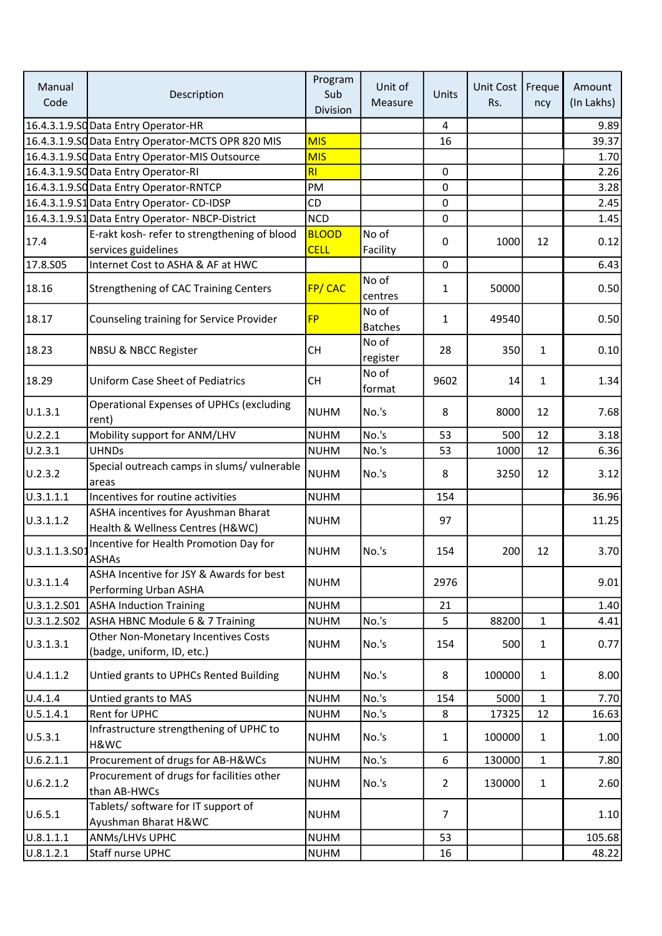| Manual<br>Code | Description                                                                                | Program<br>Sub<br>Division | Unit of<br>Measure      | Units          | Unit Cost<br>Rs. | Freque<br>ncy | Amount<br>(In Lakhs) |
|----------------|--------------------------------------------------------------------------------------------|----------------------------|-------------------------|----------------|------------------|---------------|----------------------|
|                | 16.4.3.1.9.SO Data Entry Operator-HR                                                       |                            |                         | $\overline{4}$ |                  |               | 9.89                 |
|                | 16.4.3.1.9.SQ Data Entry Operator-MCTS OPR 820 MIS                                         | <b>MIS</b>                 |                         | 16             |                  |               | 39.37                |
|                | 16.4.3.1.9.SC Data Entry Operator-MIS Outsource                                            | <b>MIS</b>                 |                         |                |                  |               | 1.70                 |
|                | 16.4.3.1.9.SO Data Entry Operator-RI                                                       | RI                         |                         | 0              |                  |               | 2.26                 |
|                | 16.4.3.1.9.SO Data Entry Operator-RNTCP                                                    | PM                         |                         | $\Omega$       |                  |               | 3.28                 |
|                | 16.4.3.1.9.S1 Data Entry Operator-CD-IDSP                                                  | CD                         |                         | $\mathbf 0$    |                  |               | 2.45                 |
|                | 16.4.3.1.9.S1 Data Entry Operator-NBCP-District                                            | <b>NCD</b>                 |                         | 0              |                  |               | 1.45                 |
|                | E-rakt kosh- refer to strengthening of blood                                               | <b>BLOOD</b>               | No of                   |                |                  |               |                      |
| 17.4           | services guidelines                                                                        | <b>CELL</b>                |                         | 0              | 1000             | 12            | 0.12                 |
|                | Internet Cost to ASHA & AF at HWC                                                          |                            | Facility                |                |                  |               |                      |
| 17.8.S05       |                                                                                            |                            |                         | 0              |                  |               | 6.43                 |
| 18.16          | <b>Strengthening of CAC Training Centers</b>                                               | FP/CAC                     | No of<br>centres        | $\mathbf{1}$   | 50000            |               | 0.50                 |
| 18.17          | Counseling training for Service Provider                                                   | <b>FP</b>                  | No of<br><b>Batches</b> | $\mathbf{1}$   | 49540            |               | 0.50                 |
| 18.23          | <b>NBSU &amp; NBCC Register</b>                                                            | <b>CH</b>                  | No of<br>register       | 28             | 350              | $\mathbf{1}$  | 0.10                 |
| 18.29          | <b>Uniform Case Sheet of Pediatrics</b>                                                    | <b>CH</b>                  | No of<br>format         | 9602           | 14               | $\mathbf{1}$  | 1.34                 |
| U.1.3.1        | <b>Operational Expenses of UPHCs (excluding</b><br>rent)                                   | <b>NUHM</b>                | No.'s                   | 8              | 8000             | 12            | 7.68                 |
| U.2.2.1        | Mobility support for ANM/LHV                                                               | <b>NUHM</b>                | No.'s                   | 53             | 500              | 12            | 3.18                 |
| U.2.3.1        | <b>UHNDs</b>                                                                               | <b>NUHM</b>                | No.'s                   | 53             | 1000             | 12            | 6.36                 |
| U.2.3.2        | Special outreach camps in slums/ vulnerable<br>areas                                       | <b>NUHM</b>                | No.'s                   | 8              | 3250             | 12            | 3.12                 |
| U.3.1.1.1      | Incentives for routine activities                                                          | <b>NUHM</b>                |                         | 154            |                  |               | 36.96                |
| U.3.1.1.2      | ASHA incentives for Ayushman Bharat                                                        | <b>NUHM</b>                |                         | 97             |                  |               | 11.25                |
| U.3.1.1.3.S01  | Health & Wellness Centres (H&WC)<br>Incentive for Health Promotion Day for<br><b>ASHAs</b> | <b>NUHM</b>                | No.'s                   | 154            | 200              | 12            | 3.70                 |
| U.3.1.1.4      | ASHA Incentive for JSY & Awards for best<br>Performing Urban ASHA                          | <b>NUHM</b>                |                         | 2976           |                  |               | 9.01                 |
| U.3.1.2.S01    | <b>ASHA Induction Training</b>                                                             | <b>NUHM</b>                |                         | 21             |                  |               | 1.40                 |
| U.3.1.2.S02    | ASHA HBNC Module 6 & 7 Training                                                            | <b>NUHM</b>                | No.'s                   | 5              | 88200            | $\mathbf{1}$  | 4.41                 |
| U.3.1.3.1      | Other Non-Monetary Incentives Costs<br>(badge, uniform, ID, etc.)                          | <b>NUHM</b>                | No.'s                   | 154            | 500              | $\mathbf{1}$  | 0.77                 |
| U.4.1.1.2      | Untied grants to UPHCs Rented Building                                                     | <b>NUHM</b>                | No.'s                   | 8              | 100000           | $\mathbf{1}$  | 8.00                 |
| U.4.1.4        | Untied grants to MAS                                                                       | <b>NUHM</b>                | No.'s                   | 154            | 5000             | $\mathbf{1}$  | 7.70                 |
| U.5.1.4.1      | Rent for UPHC                                                                              | <b>NUHM</b>                | No.'s                   | 8              | 17325            | 12            | 16.63                |
| U.5.3.1        | Infrastructure strengthening of UPHC to<br>H&WC                                            | <b>NUHM</b>                | No.'s                   | $\mathbf{1}$   | 100000           | $\mathbf{1}$  | 1.00                 |
| U.6.2.1.1      | Procurement of drugs for AB-H&WCs                                                          | <b>NUHM</b>                | No.'s                   | 6              | 130000           | $\mathbf{1}$  | 7.80                 |
| U.6.2.1.2      | Procurement of drugs for facilities other<br>than AB-HWCs                                  | <b>NUHM</b>                | No.'s                   | $\overline{2}$ | 130000           | $\mathbf{1}$  | 2.60                 |
| U.6.5.1        | Tablets/ software for IT support of<br>Ayushman Bharat H&WC                                | <b>NUHM</b>                |                         | $\overline{7}$ |                  |               | 1.10                 |
| U.8.1.1.1      | ANMs/LHVs UPHC                                                                             | <b>NUHM</b>                |                         | 53             |                  |               | 105.68               |
| 0.8.1.2.1      | Staff nurse UPHC                                                                           | <b>NUHM</b>                |                         | 16             |                  |               | 48.22                |